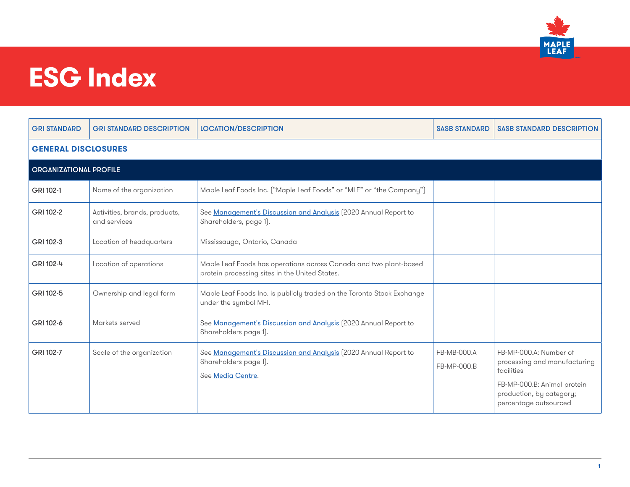

#### **ESG Index**

| <b>GRI STANDARD</b>           | <b>GRI STANDARD DESCRIPTION</b>               | <b>LOCATION/DESCRIPTION</b>                                                                                         | <b>SASB STANDARD</b>       | <b>SASB STANDARD DESCRIPTION</b>                                                                                                                         |  |  |
|-------------------------------|-----------------------------------------------|---------------------------------------------------------------------------------------------------------------------|----------------------------|----------------------------------------------------------------------------------------------------------------------------------------------------------|--|--|
| <b>GENERAL DISCLOSURES</b>    |                                               |                                                                                                                     |                            |                                                                                                                                                          |  |  |
| <b>ORGANIZATIONAL PROFILE</b> |                                               |                                                                                                                     |                            |                                                                                                                                                          |  |  |
| GRI 102-1                     | Name of the organization                      | Maple Leaf Foods Inc. ("Maple Leaf Foods" or "MLF" or "the Company")                                                |                            |                                                                                                                                                          |  |  |
| GRI 102-2                     | Activities, brands, products,<br>and services | See Management's Discussion and Analysis (2020 Annual Report to<br>Shareholders, page 1).                           |                            |                                                                                                                                                          |  |  |
| GRI 102-3                     | Location of headquarters                      | Mississauga, Ontario, Canada                                                                                        |                            |                                                                                                                                                          |  |  |
| GRI 102-4                     | Location of operations                        | Maple Leaf Foods has operations across Canada and two plant-based<br>protein processing sites in the United States. |                            |                                                                                                                                                          |  |  |
| GRI 102-5                     | Ownership and legal form                      | Maple Leaf Foods Inc. is publicly traded on the Toronto Stock Exchange<br>under the symbol MFI.                     |                            |                                                                                                                                                          |  |  |
| GRI 102-6                     | Markets served                                | See Management's Discussion and Analysis (2020 Annual Report to<br>Shareholders page 1).                            |                            |                                                                                                                                                          |  |  |
| GRI 102-7                     | Scale of the organization                     | See Management's Discussion and Analysis (2020 Annual Report to<br>Shareholders page 1).<br>See Media Centre.       | FB-MB-000.A<br>FB-MP-000.B | FB-MP-000.A: Number of<br>processing and manufacturing<br>facilities<br>FB-MP-000.B: Animal protein<br>production, by category;<br>percentage outsourced |  |  |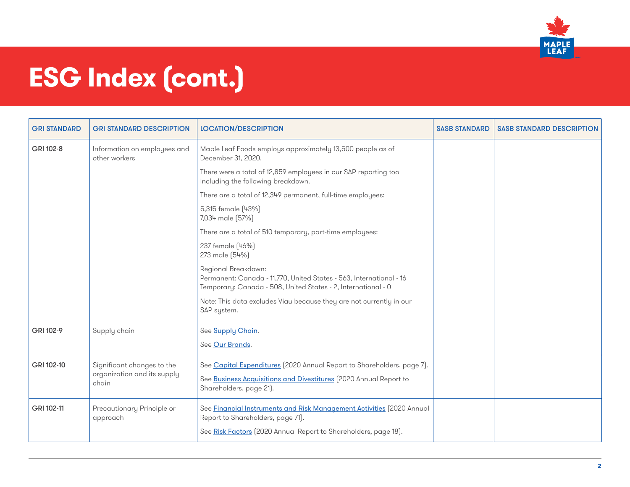

| <b>GRI STANDARD</b> | <b>GRI STANDARD DESCRIPTION</b>                                    | <b>LOCATION/DESCRIPTION</b>                                                                                                                                                   | <b>SASB STANDARD</b> | <b>SASB STANDARD DESCRIPTION</b> |
|---------------------|--------------------------------------------------------------------|-------------------------------------------------------------------------------------------------------------------------------------------------------------------------------|----------------------|----------------------------------|
| GRI 102-8           | Information on employees and<br>other workers                      | Maple Leaf Foods employs approximately 13,500 people as of<br>December 31, 2020.                                                                                              |                      |                                  |
|                     |                                                                    | There were a total of 12,859 employees in our SAP reporting tool<br>including the following breakdown.                                                                        |                      |                                  |
|                     |                                                                    | There are a total of 12,349 permanent, full-time employees:                                                                                                                   |                      |                                  |
|                     |                                                                    | 5,315 female (43%)<br>7,034 male (57%)                                                                                                                                        |                      |                                  |
|                     |                                                                    | There are a total of 510 temporary, part-time employees:                                                                                                                      |                      |                                  |
|                     |                                                                    | 237 female (46%)<br>273 male (54%)                                                                                                                                            |                      |                                  |
|                     |                                                                    | Regional Breakdown:<br>Permanent: Canada - 11,770, United States - 563, International - 16<br>Temporary: Canada - 508, United States - 2, International - 0                   |                      |                                  |
|                     |                                                                    | Note: This data excludes Viau because they are not currently in our<br>SAP system.                                                                                            |                      |                                  |
| GRI 102-9           | Supply chain                                                       | See Supply Chain.                                                                                                                                                             |                      |                                  |
|                     |                                                                    | See Our Brands.                                                                                                                                                               |                      |                                  |
| GRI 102-10          | Significant changes to the<br>organization and its supply<br>chain | See Capital Expenditures (2020 Annual Report to Shareholders, page 7).<br>See Business Acquisitions and Divestitures (2020 Annual Report to<br>Shareholders, page 21).        |                      |                                  |
| GRI 102-11          | Precautionary Principle or<br>approach                             | See Financial Instruments and Risk Management Activities (2020 Annual<br>Report to Shareholders, page 71).<br>See Risk Factors (2020 Annual Report to Shareholders, page 18). |                      |                                  |
|                     |                                                                    |                                                                                                                                                                               |                      |                                  |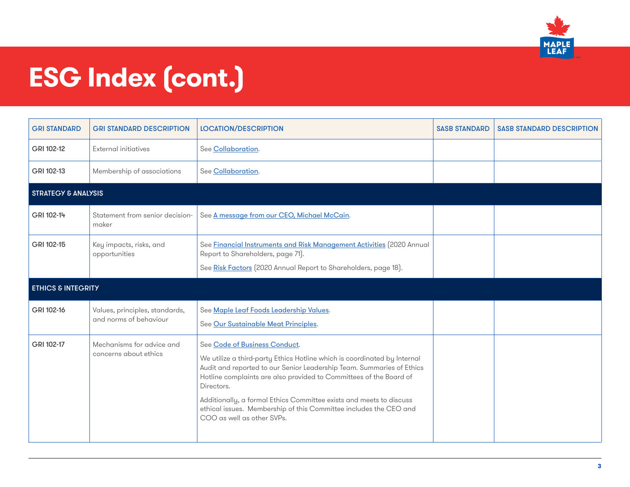

| <b>GRI STANDARD</b>            | <b>GRI STANDARD DESCRIPTION</b>                          | <b>LOCATION/DESCRIPTION</b>                                                                                                                                                                                                                                                                                                                                                                                                                      | <b>SASB STANDARD</b> | <b>SASB STANDARD DESCRIPTION</b> |
|--------------------------------|----------------------------------------------------------|--------------------------------------------------------------------------------------------------------------------------------------------------------------------------------------------------------------------------------------------------------------------------------------------------------------------------------------------------------------------------------------------------------------------------------------------------|----------------------|----------------------------------|
| GRI 102-12                     | <b>External initiatives</b>                              | See Collaboration.                                                                                                                                                                                                                                                                                                                                                                                                                               |                      |                                  |
| GRI 102-13                     | Membership of associations                               | See Collaboration.                                                                                                                                                                                                                                                                                                                                                                                                                               |                      |                                  |
| <b>STRATEGY &amp; ANALYSIS</b> |                                                          |                                                                                                                                                                                                                                                                                                                                                                                                                                                  |                      |                                  |
| GRI 102-14                     | Statement from senior decision-<br>maker                 | See A message from our CEO, Michael McCain.                                                                                                                                                                                                                                                                                                                                                                                                      |                      |                                  |
| GRI 102-15                     | Key impacts, risks, and<br>opportunities                 | See <b>Financial Instruments and Risk Management Activities</b> (2020 Annual<br>Report to Shareholders, page 71).<br>See Risk Factors (2020 Annual Report to Shareholders, page 18).                                                                                                                                                                                                                                                             |                      |                                  |
| <b>ETHICS &amp; INTEGRITY</b>  |                                                          |                                                                                                                                                                                                                                                                                                                                                                                                                                                  |                      |                                  |
| GRI 102-16                     | Values, principles, standards,<br>and norms of behaviour | See Maple Leaf Foods Leadership Values.<br>See Our Sustainable Meat Principles.                                                                                                                                                                                                                                                                                                                                                                  |                      |                                  |
| GRI 102-17                     | Mechanisms for advice and<br>concerns about ethics       | See Code of Business Conduct.<br>We utilize a third-party Ethics Hotline which is coordinated by Internal<br>Audit and reported to our Senior Leadership Team. Summaries of Ethics<br>Hotline complaints are also provided to Committees of the Board of<br>Directors.<br>Additionally, a formal Ethics Committee exists and meets to discuss<br>ethical issues. Membership of this Committee includes the CEO and<br>COO as well as other SVPs. |                      |                                  |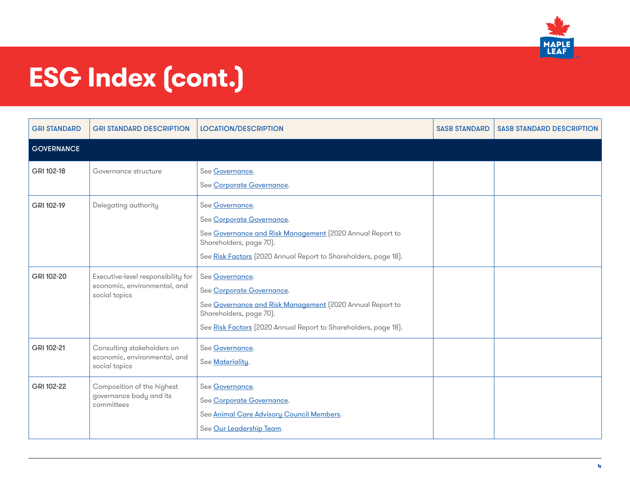

| <b>GRI STANDARD</b> | <b>GRI STANDARD DESCRIPTION</b>                                                     | <b>LOCATION/DESCRIPTION</b>                                                                                                                                                                             | <b>SASB STANDARD</b> | <b>SASB STANDARD DESCRIPTION</b> |
|---------------------|-------------------------------------------------------------------------------------|---------------------------------------------------------------------------------------------------------------------------------------------------------------------------------------------------------|----------------------|----------------------------------|
| <b>GOVERNANCE</b>   |                                                                                     |                                                                                                                                                                                                         |                      |                                  |
| GRI 102-18          | Governance structure                                                                | See Governance.<br>See Corporate Governance.                                                                                                                                                            |                      |                                  |
| GRI 102-19          | Delegating authority                                                                | See Governance.<br>See Corporate Governance.<br>See Governance and Risk Management (2020 Annual Report to<br>Shareholders, page 70).<br>See Risk Factors (2020 Annual Report to Shareholders, page 18). |                      |                                  |
| GRI 102-20          | Executive-level responsibility for<br>economic, environmental, and<br>social topics | See Governance.<br>See Corporate Governance.<br>See Governance and Risk Management (2020 Annual Report to<br>Shareholders, page 70).<br>See Risk Factors (2020 Annual Report to Shareholders, page 18). |                      |                                  |
| GRI 102-21          | Consulting stakeholders on<br>economic, environmental, and<br>social topics         | See Governance.<br>See Materiality.                                                                                                                                                                     |                      |                                  |
| GRI 102-22          | Composition of the highest<br>governance body and its<br>committees                 | See Governance.<br>See Corporate Governance.<br>See Animal Care Advisory Council Members.<br>See Our Leadership Team.                                                                                   |                      |                                  |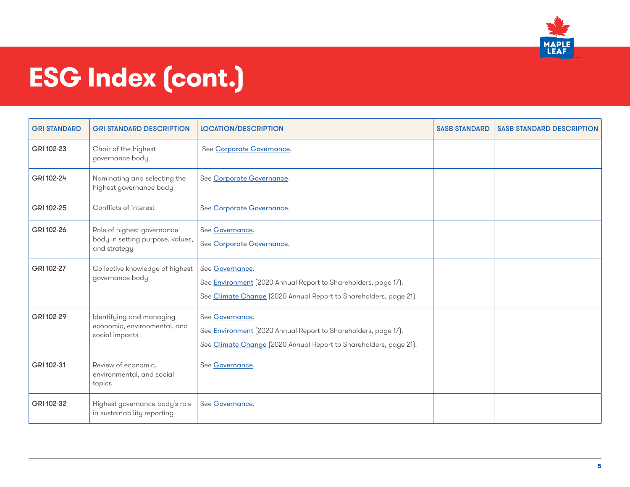

| <b>GRI STANDARD</b> | <b>GRI STANDARD DESCRIPTION</b>                                                | <b>LOCATION/DESCRIPTION</b>                                                                                                                                   | <b>SASB STANDARD</b> | <b>SASB STANDARD DESCRIPTION</b> |
|---------------------|--------------------------------------------------------------------------------|---------------------------------------------------------------------------------------------------------------------------------------------------------------|----------------------|----------------------------------|
| GRI 102-23          | Chair of the highest<br>governance body                                        | See Corporate Governance.                                                                                                                                     |                      |                                  |
| GRI 102-24          | Nominating and selecting the<br>highest governance body                        | See Corporate Governance.                                                                                                                                     |                      |                                  |
| GRI 102-25          | Conflicts of interest                                                          | See Corporate Governance.                                                                                                                                     |                      |                                  |
| GRI 102-26          | Role of highest governance<br>body in setting purpose, values,<br>and strategy | See Governance.<br>See Corporate Governance.                                                                                                                  |                      |                                  |
| GRI 102-27          | Collective knowledge of highest<br>governance body                             | See Governance.<br>See <b>Environment</b> (2020 Annual Report to Shareholders, page 17).<br>See Climate Change (2020 Annual Report to Shareholders, page 21). |                      |                                  |
| GRI 102-29          | Identifying and managing<br>economic, environmental, and<br>social impacts     | See Governance.<br>See <b>Environment</b> (2020 Annual Report to Shareholders, page 17).<br>See Climate Change [2020 Annual Report to Shareholders, page 21]. |                      |                                  |
| GRI 102-31          | Review of economic,<br>environmental, and social<br>topics                     | See Governance.                                                                                                                                               |                      |                                  |
| GRI 102-32          | Highest governance body's role<br>in sustainability reporting                  | See Governance.                                                                                                                                               |                      |                                  |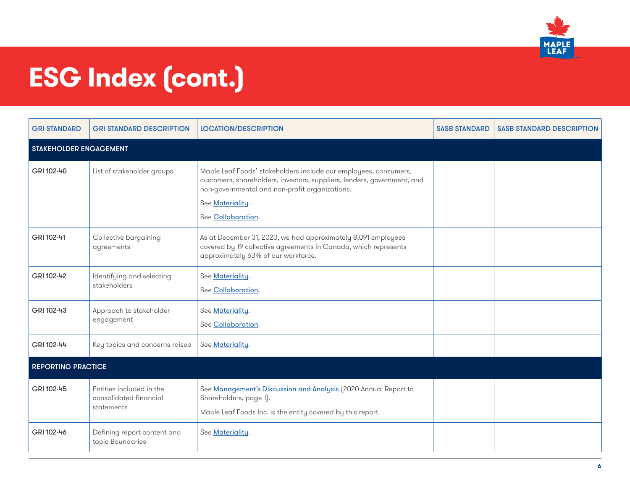

| <b>GRI STANDARD</b>       | <b>GRI STANDARD DESCRIPTION</b>                                  | <b>LOCATION/DESCRIPTION</b>                                                                                                                                                                                                             | <b>SASB STANDARD</b> | <b>SASB STANDARD DESCRIPTION</b> |  |
|---------------------------|------------------------------------------------------------------|-----------------------------------------------------------------------------------------------------------------------------------------------------------------------------------------------------------------------------------------|----------------------|----------------------------------|--|
| STAKEHOLDER ENGAGEMENT    |                                                                  |                                                                                                                                                                                                                                         |                      |                                  |  |
| GRI 102-40                | List of stakeholder groups                                       | Maple Leaf Foods' stakeholders include our employees, consumers,<br>customers, shareholders, investors, suppliers, lenders, government, and<br>non-governmental and non-profit organizations.<br>See Materiality.<br>See Collaboration. |                      |                                  |  |
| GRI 102-41                | Collective bargaining<br>agreements                              | As at December 31, 2020, we had approximately 8,091 employees<br>covered by 19 collective agreements in Canada, which represents<br>approximately 63% of our workforce.                                                                 |                      |                                  |  |
| GRI 102-42                | Identifying and selecting<br>stakeholders                        | See Materiality.<br>See Collaboration.                                                                                                                                                                                                  |                      |                                  |  |
| GRI 102-43                | Approach to stakeholder<br>engagement                            | See Materiality.<br>See Collaboration.                                                                                                                                                                                                  |                      |                                  |  |
| GRI 102-44                | Key topics and concerns raised                                   | See Materiality.                                                                                                                                                                                                                        |                      |                                  |  |
| <b>REPORTING PRACTICE</b> |                                                                  |                                                                                                                                                                                                                                         |                      |                                  |  |
| GRI 102-45                | Entities included in the<br>consolidated financial<br>statements | See Management's Discussion and Analysis (2020 Annual Report to<br>Shareholders, page 1).<br>Maple Leaf Foods Inc. is the entity covered by this report.                                                                                |                      |                                  |  |
| GRI 102-46                | Defining report content and<br>topic Boundaries                  | See Materiality.                                                                                                                                                                                                                        |                      |                                  |  |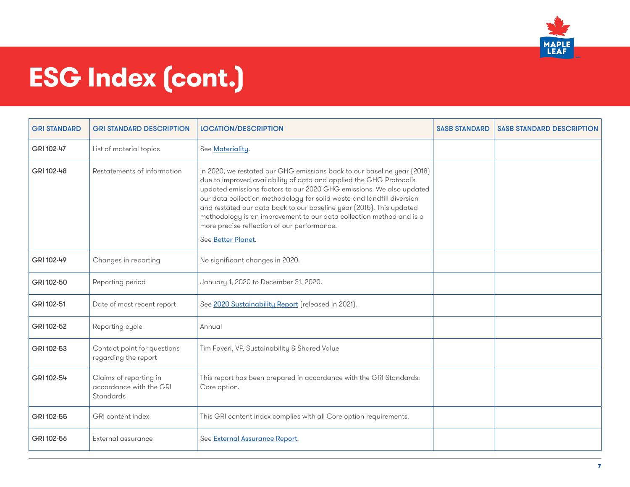

| <b>GRI STANDARD</b> | <b>GRI STANDARD DESCRIPTION</b>                                | <b>LOCATION/DESCRIPTION</b>                                                                                                                                                                                                                                                                                                                                                                                                                                                                                           | <b>SASB STANDARD</b> | <b>SASB STANDARD DESCRIPTION</b> |
|---------------------|----------------------------------------------------------------|-----------------------------------------------------------------------------------------------------------------------------------------------------------------------------------------------------------------------------------------------------------------------------------------------------------------------------------------------------------------------------------------------------------------------------------------------------------------------------------------------------------------------|----------------------|----------------------------------|
| GRI 102-47          | List of material topics                                        | See Materiality.                                                                                                                                                                                                                                                                                                                                                                                                                                                                                                      |                      |                                  |
| GRI 102-48          | Restatements of information                                    | In 2020, we restated our GHG emissions back to our baseline year (2018)<br>due to improved availability of data and applied the GHG Protocol's<br>updated emissions factors to our 2020 GHG emissions. We also updated<br>our data collection methodology for solid waste and landfill diversion<br>and restated our data back to our baseline year (2015). This updated<br>methodology is an improvement to our data collection method and is a<br>more precise reflection of our performance.<br>See Better Planet. |                      |                                  |
| GRI 102-49          | Changes in reporting                                           | No significant changes in 2020.                                                                                                                                                                                                                                                                                                                                                                                                                                                                                       |                      |                                  |
| GRI 102-50          | Reporting period                                               | January 1, 2020 to December 31, 2020.                                                                                                                                                                                                                                                                                                                                                                                                                                                                                 |                      |                                  |
| GRI 102-51          | Date of most recent report                                     | See 2020 Sustainability Report (released in 2021).                                                                                                                                                                                                                                                                                                                                                                                                                                                                    |                      |                                  |
| GRI 102-52          | Reporting cycle                                                | Annual                                                                                                                                                                                                                                                                                                                                                                                                                                                                                                                |                      |                                  |
| GRI 102-53          | Contact point for questions<br>regarding the report            | Tim Faveri, VP, Sustainability & Shared Value                                                                                                                                                                                                                                                                                                                                                                                                                                                                         |                      |                                  |
| GRI 102-54          | Claims of reporting in<br>accordance with the GRI<br>Standards | This report has been prepared in accordance with the GRI Standards:<br>Core option.                                                                                                                                                                                                                                                                                                                                                                                                                                   |                      |                                  |
| GRI 102-55          | GRI content index                                              | This GRI content index complies with all Core option requirements.                                                                                                                                                                                                                                                                                                                                                                                                                                                    |                      |                                  |
| GRI 102-56          | External assurance                                             | See External Assurance Report.                                                                                                                                                                                                                                                                                                                                                                                                                                                                                        |                      |                                  |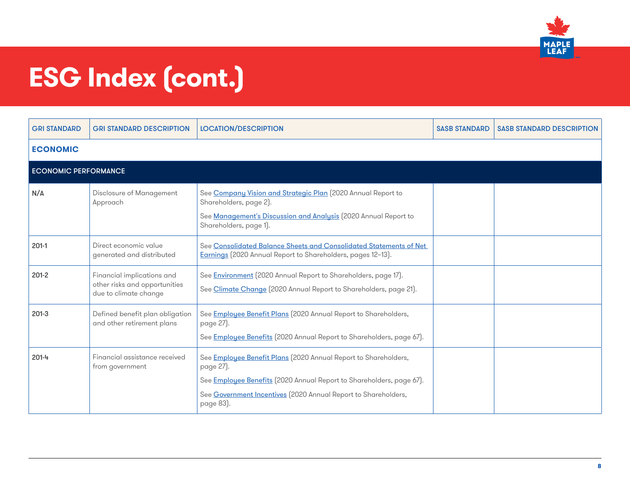

| <b>GRI STANDARD</b>         | <b>GRI STANDARD DESCRIPTION</b>                                                      | <b>LOCATION/DESCRIPTION</b>                                                                                                                                                                                                         | <b>SASB STANDARD</b> | <b>SASB STANDARD DESCRIPTION</b> |
|-----------------------------|--------------------------------------------------------------------------------------|-------------------------------------------------------------------------------------------------------------------------------------------------------------------------------------------------------------------------------------|----------------------|----------------------------------|
| <b>ECONOMIC</b>             |                                                                                      |                                                                                                                                                                                                                                     |                      |                                  |
| <b>ECONOMIC PERFORMANCE</b> |                                                                                      |                                                                                                                                                                                                                                     |                      |                                  |
| N/A                         | Disclosure of Management<br>Approach                                                 | See Company Vision and Strategic Plan (2020 Annual Report to<br>Shareholders, page 2).<br>See Management's Discussion and Analysis (2020 Annual Report to<br>Shareholders, page 1).                                                 |                      |                                  |
| $201-1$                     | Direct economic value<br>generated and distributed                                   | See Consolidated Balance Sheets and Consolidated Statements of Net<br>Earnings (2020 Annual Report to Shareholders, pages 12-13).                                                                                                   |                      |                                  |
| $201-2$                     | Financial implications and<br>other risks and opportunities<br>due to climate change | See <b>Environment</b> [2020 Annual Report to Shareholders, page 17].<br>See Climate Change (2020 Annual Report to Shareholders, page 21).                                                                                          |                      |                                  |
| $201-3$                     | Defined benefit plan obligation<br>and other retirement plans                        | See Employee Benefit Plans (2020 Annual Report to Shareholders,<br>page 27).<br>See Employee Benefits (2020 Annual Report to Shareholders, page 67).                                                                                |                      |                                  |
| 201-4                       | Financial assistance received<br>from government                                     | See Employee Benefit Plans (2020 Annual Report to Shareholders,<br>page 27).<br>See Employee Benefits (2020 Annual Report to Shareholders, page 67).<br>See Government Incentives (2020 Annual Report to Shareholders,<br>page 83). |                      |                                  |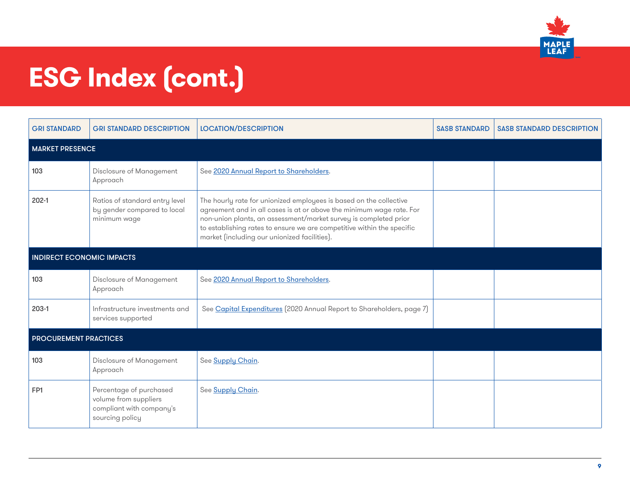

| <b>GRI STANDARD</b>              | <b>GRI STANDARD DESCRIPTION</b>                                                                 | <b>LOCATION/DESCRIPTION</b>                                                                                                                                                                                                                                                                                                              | <b>SASB STANDARD</b> | <b>SASB STANDARD DESCRIPTION</b> |
|----------------------------------|-------------------------------------------------------------------------------------------------|------------------------------------------------------------------------------------------------------------------------------------------------------------------------------------------------------------------------------------------------------------------------------------------------------------------------------------------|----------------------|----------------------------------|
| <b>MARKET PRESENCE</b>           |                                                                                                 |                                                                                                                                                                                                                                                                                                                                          |                      |                                  |
| 103                              | Disclosure of Management<br>Approach                                                            | See 2020 Annual Report to Shareholders.                                                                                                                                                                                                                                                                                                  |                      |                                  |
| $202-1$                          | Ratios of standard entry level<br>by gender compared to local<br>minimum wage                   | The hourly rate for unionized employees is based on the collective<br>agreement and in all cases is at or above the minimum wage rate. For<br>non-union plants, an assessment/market survey is completed prior<br>to establishing rates to ensure we are competitive within the specific<br>market (including our unionized facilities). |                      |                                  |
| <b>INDIRECT ECONOMIC IMPACTS</b> |                                                                                                 |                                                                                                                                                                                                                                                                                                                                          |                      |                                  |
| 103                              | Disclosure of Management<br>Approach                                                            | See 2020 Annual Report to Shareholders.                                                                                                                                                                                                                                                                                                  |                      |                                  |
| 203-1                            | Infrastructure investments and<br>services supported                                            | See Capital Expenditures (2020 Annual Report to Shareholders, page 7)                                                                                                                                                                                                                                                                    |                      |                                  |
| <b>PROCUREMENT PRACTICES</b>     |                                                                                                 |                                                                                                                                                                                                                                                                                                                                          |                      |                                  |
| 103                              | Disclosure of Management<br>Approach                                                            | See Supply Chain.                                                                                                                                                                                                                                                                                                                        |                      |                                  |
| FP <sub>1</sub>                  | Percentage of purchased<br>volume from suppliers<br>compliant with company's<br>sourcing policy | See Supply Chain.                                                                                                                                                                                                                                                                                                                        |                      |                                  |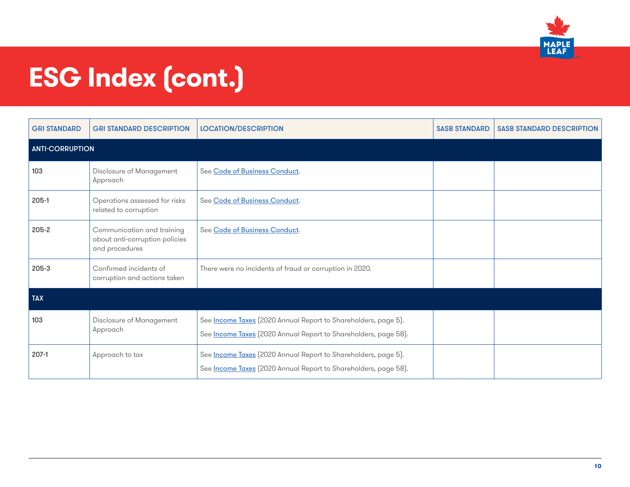

| <b>GRI STANDARD</b>    | <b>GRI STANDARD DESCRIPTION</b>                                                | <b>LOCATION/DESCRIPTION</b>                                                                                                       | <b>SASB STANDARD</b> | <b>SASB STANDARD DESCRIPTION</b> |
|------------------------|--------------------------------------------------------------------------------|-----------------------------------------------------------------------------------------------------------------------------------|----------------------|----------------------------------|
| <b>ANTI-CORRUPTION</b> |                                                                                |                                                                                                                                   |                      |                                  |
| 103                    | Disclosure of Management<br>Approach                                           | See Code of Business Conduct.                                                                                                     |                      |                                  |
| 205-1                  | Operations assessed for risks<br>related to corruption                         | See Code of Business Conduct.                                                                                                     |                      |                                  |
| 205-2                  | Communication and training<br>about anti-corruption policies<br>and procedures | See Code of Business Conduct.                                                                                                     |                      |                                  |
| 205-3                  | Confirmed incidents of<br>corruption and actions taken                         | There were no incidents of fraud or corruption in 2020.                                                                           |                      |                                  |
| <b>TAX</b>             |                                                                                |                                                                                                                                   |                      |                                  |
| 103                    | Disclosure of Management<br>Approach                                           | See Income Taxes (2020 Annual Report to Shareholders, page 5).<br>See Income Taxes (2020 Annual Report to Shareholders, page 58). |                      |                                  |
| $207-1$                | Approach to tax                                                                | See Income Taxes (2020 Annual Report to Shareholders, page 5).<br>See Income Taxes (2020 Annual Report to Shareholders, page 58). |                      |                                  |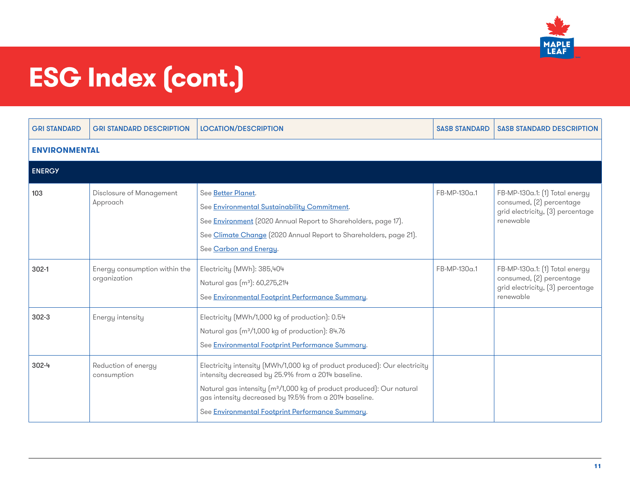

| <b>GRI STANDARD</b>  | <b>GRI STANDARD DESCRIPTION</b>               | <b>LOCATION/DESCRIPTION</b>                                                                                                                                                                                                                                                                                                        | <b>SASB STANDARD</b> | <b>SASB STANDARD DESCRIPTION</b>                                                                            |
|----------------------|-----------------------------------------------|------------------------------------------------------------------------------------------------------------------------------------------------------------------------------------------------------------------------------------------------------------------------------------------------------------------------------------|----------------------|-------------------------------------------------------------------------------------------------------------|
| <b>ENVIRONMENTAL</b> |                                               |                                                                                                                                                                                                                                                                                                                                    |                      |                                                                                                             |
| <b>ENERGY</b>        |                                               |                                                                                                                                                                                                                                                                                                                                    |                      |                                                                                                             |
| 103                  | Disclosure of Management<br>Approach          | See Better Planet.<br>See Environmental Sustainability Commitment.<br>See Environment (2020 Annual Report to Shareholders, page 17).<br>See Climate Change (2020 Annual Report to Shareholders, page 21).<br>See Carbon and Energy.                                                                                                | FB-MP-130a.1         | FB-MP-130a.1: [1] Total energy<br>consumed, (2) percentage<br>grid electricity, [3] percentage<br>renewable |
| $302 - 1$            | Energy consumption within the<br>organization | Electricity (MWh): 385,404<br>Natural gas (m <sup>3</sup> ): 60,275,214<br>See Environmental Footprint Performance Summary.                                                                                                                                                                                                        | FB-MP-130a.1         | FB-MP-130a.1: (1) Total energy<br>consumed, (2) percentage<br>grid electricity, (3) percentage<br>renewable |
| $302 - 3$            | Energy intensity                              | Electricity (MWh/1,000 kg of production): 0.54<br>Natural gas (m <sup>3</sup> /1,000 kg of production): 84.76<br>See Environmental Footprint Performance Summary.                                                                                                                                                                  |                      |                                                                                                             |
| $302 - 4$            | Reduction of energy<br>consumption            | Electricity intensity (MWh/1,000 kg of product produced): Our electricity<br>intensity decreased by 25.9% from a 2014 baseline.<br>Natural gas intensity (m <sup>3</sup> /1,000 kg of product produced): Our natural<br>gas intensity decreased by 19.5% from a 2014 baseline.<br>See Environmental Footprint Performance Summary. |                      |                                                                                                             |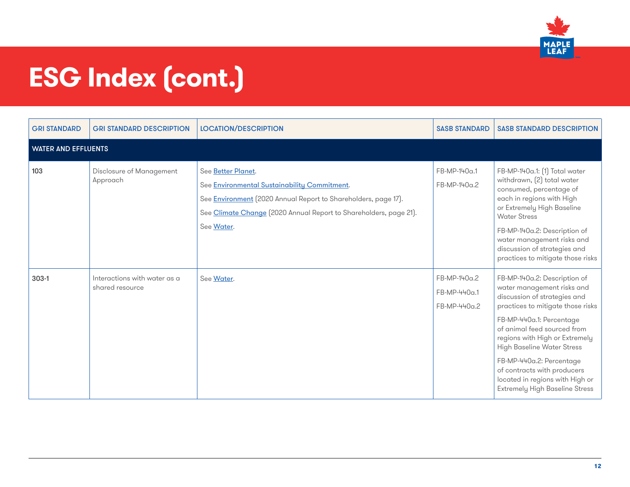

| <b>GRI STANDARD</b>        | <b>GRI STANDARD DESCRIPTION</b>                 | <b>LOCATION/DESCRIPTION</b>                                                                                                                                                                                                    | <b>SASB STANDARD</b>                         | <b>SASB STANDARD DESCRIPTION</b>                                                                                                                                                                                                                                                                                                                                                                  |
|----------------------------|-------------------------------------------------|--------------------------------------------------------------------------------------------------------------------------------------------------------------------------------------------------------------------------------|----------------------------------------------|---------------------------------------------------------------------------------------------------------------------------------------------------------------------------------------------------------------------------------------------------------------------------------------------------------------------------------------------------------------------------------------------------|
| <b>WATER AND EFFLUENTS</b> |                                                 |                                                                                                                                                                                                                                |                                              |                                                                                                                                                                                                                                                                                                                                                                                                   |
| 103                        | Disclosure of Management<br>Approach            | See Better Planet.<br>See Environmental Sustainability Commitment.<br>See <b>Environment</b> [2020 Annual Report to Shareholders, page 17].<br>See Climate Change [2020 Annual Report to Shareholders, page 21].<br>See Water. | FB-MP-140a.1<br>FB-MP-140a.2                 | FB-MP-140a.1: (1) Total water<br>withdrawn, [2] total water<br>consumed, percentage of<br>each in regions with High<br>or Extremely High Baseline<br><b>Water Stress</b><br>FB-MP-140a.2: Description of<br>water management risks and<br>discussion of strategies and<br>practices to mitigate those risks                                                                                       |
| $303-1$                    | Interactions with water as a<br>shared resource | See Water.                                                                                                                                                                                                                     | FB-MP-140a.2<br>FB-MP-440a.1<br>FB-MP-440a.2 | FB-MP-140a.2: Description of<br>water management risks and<br>discussion of strategies and<br>practices to mitigate those risks<br>FB-MP-440a.1: Percentage<br>of animal feed sourced from<br>regions with High or Extremely<br>High Baseline Water Stress<br>FB-MP-440a.2: Percentage<br>of contracts with producers<br>located in regions with High or<br><b>Extremely High Baseline Stress</b> |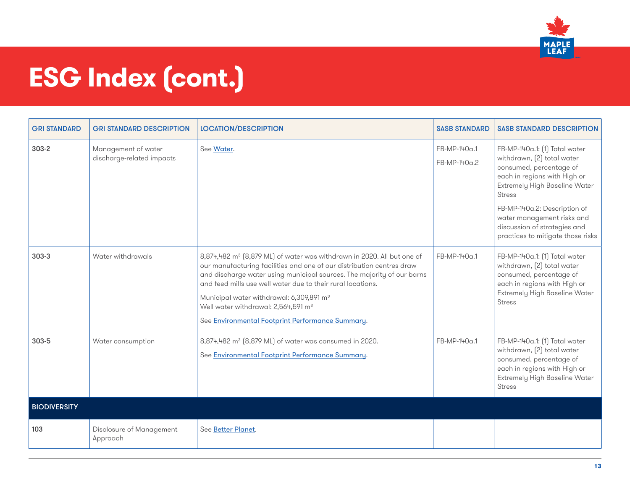

| <b>GRI STANDARD</b> | <b>GRI STANDARD DESCRIPTION</b>                  | <b>LOCATION/DESCRIPTION</b>                                                                                                                                                                                                                                                                                                                                                                                                                                         | <b>SASB STANDARD</b>         | <b>SASB STANDARD DESCRIPTION</b>                                                                                                                                                                                                                                                                            |
|---------------------|--------------------------------------------------|---------------------------------------------------------------------------------------------------------------------------------------------------------------------------------------------------------------------------------------------------------------------------------------------------------------------------------------------------------------------------------------------------------------------------------------------------------------------|------------------------------|-------------------------------------------------------------------------------------------------------------------------------------------------------------------------------------------------------------------------------------------------------------------------------------------------------------|
| $303 - 2$           | Management of water<br>discharge-related impacts | See Water.                                                                                                                                                                                                                                                                                                                                                                                                                                                          | FB-MP-140a.1<br>FB-MP-140a.2 | FB-MP-140a.1: (1) Total water<br>withdrawn, (2) total water<br>consumed, percentage of<br>each in regions with High or<br>Extremely High Baseline Water<br><b>Stress</b><br>FB-MP-140a.2: Description of<br>water management risks and<br>discussion of strategies and<br>practices to mitigate those risks |
| $303-3$             | Water withdrawals                                | 8,874,482 m <sup>3</sup> [8,879 ML] of water was withdrawn in 2020. All but one of<br>our manufacturing facilities and one of our distribution centres draw<br>and discharge water using municipal sources. The majority of our barns<br>and feed mills use well water due to their rural locations.<br>Municipal water withdrawal: 6,309,891 m <sup>3</sup><br>Well water withdrawal: 2,564,591 m <sup>3</sup><br>See Environmental Footprint Performance Summary. | FB-MP-140a.1                 | FB-MP-140a.1: [1] Total water<br>withdrawn, [2] total water<br>consumed, percentage of<br>each in regions with High or<br>Extremely High Baseline Water<br><b>Stress</b>                                                                                                                                    |
| 303-5               | Water consumption                                | 8,874,482 m <sup>3</sup> (8,879 ML) of water was consumed in 2020.<br>See Environmental Footprint Performance Summary.                                                                                                                                                                                                                                                                                                                                              | FB-MP-140a.1                 | FB-MP-140a.1: [1] Total water<br>withdrawn, (2) total water<br>consumed, percentage of<br>each in regions with High or<br>Extremely High Baseline Water<br><b>Stress</b>                                                                                                                                    |
| <b>BIODIVERSITY</b> |                                                  |                                                                                                                                                                                                                                                                                                                                                                                                                                                                     |                              |                                                                                                                                                                                                                                                                                                             |
| 103                 | Disclosure of Management<br>Approach             | See Better Planet.                                                                                                                                                                                                                                                                                                                                                                                                                                                  |                              |                                                                                                                                                                                                                                                                                                             |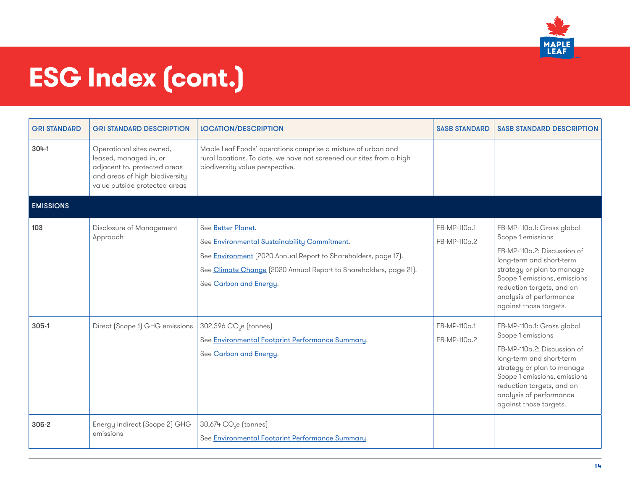

| <b>GRI STANDARD</b> | <b>GRI STANDARD DESCRIPTION</b>                                                                                                                       | <b>LOCATION/DESCRIPTION</b>                                                                                                                                                                                                                | <b>SASB STANDARD</b>         | <b>SASB STANDARD DESCRIPTION</b>                                                                                                                                                                                                                           |
|---------------------|-------------------------------------------------------------------------------------------------------------------------------------------------------|--------------------------------------------------------------------------------------------------------------------------------------------------------------------------------------------------------------------------------------------|------------------------------|------------------------------------------------------------------------------------------------------------------------------------------------------------------------------------------------------------------------------------------------------------|
| $304-1$             | Operational sites owned,<br>leased, managed in, or<br>adjacent to, protected areas<br>and areas of high biodiversity<br>value outside protected areas | Maple Leaf Foods' operations comprise a mixture of urban and<br>rural locations. To date, we have not screened our sites from a high<br>biodiversity value perspective.                                                                    |                              |                                                                                                                                                                                                                                                            |
| <b>EMISSIONS</b>    |                                                                                                                                                       |                                                                                                                                                                                                                                            |                              |                                                                                                                                                                                                                                                            |
| 103                 | Disclosure of Management<br>Approach                                                                                                                  | See Better Planet.<br>See Environmental Sustainability Commitment.<br>See <b>Environment</b> (2020 Annual Report to Shareholders, page 17).<br>See Climate Change (2020 Annual Report to Shareholders, page 21).<br>See Carbon and Energy. | FB-MP-110a.1<br>FB-MP-110a.2 | FB-MP-110a.1: Gross global<br>Scope 1 emissions<br>FB-MP-110a.2: Discussion of<br>long-term and short-term<br>strategy or plan to manage<br>Scope 1 emissions, emissions<br>reduction targets, and an<br>analysis of performance<br>against those targets. |
| 305-1               | Direct (Scope 1) GHG emissions                                                                                                                        | 302,396 CO <sub>2</sub> e (tonnes)<br>See Environmental Footprint Performance Summary.<br>See Carbon and Energy.                                                                                                                           | FB-MP-110a.1<br>FB-MP-110a.2 | FB-MP-110a.1: Gross global<br>Scope 1 emissions<br>FB-MP-110a.2: Discussion of<br>long-term and short-term<br>strategy or plan to manage<br>Scope 1 emissions, emissions<br>reduction targets, and an<br>analysis of performance<br>against those targets. |
| 305-2               | Energy indirect (Scope 2) GHG<br>emissions                                                                                                            | 30,674 CO <sub>2</sub> e (tonnes)<br>See Environmental Footprint Performance Summary.                                                                                                                                                      |                              |                                                                                                                                                                                                                                                            |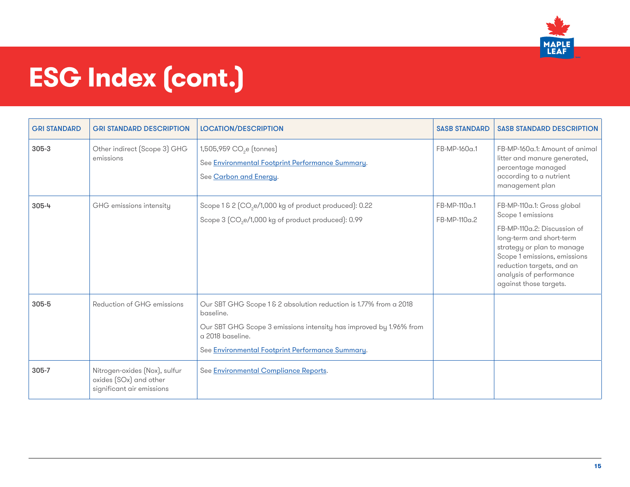

| <b>GRI STANDARD</b> | <b>GRI STANDARD DESCRIPTION</b>                                                      | <b>LOCATION/DESCRIPTION</b>                                                                                                                                                                                                  | <b>SASB STANDARD</b>         | <b>SASB STANDARD DESCRIPTION</b>                                                                                                                                                                                                                           |
|---------------------|--------------------------------------------------------------------------------------|------------------------------------------------------------------------------------------------------------------------------------------------------------------------------------------------------------------------------|------------------------------|------------------------------------------------------------------------------------------------------------------------------------------------------------------------------------------------------------------------------------------------------------|
| 305-3               | Other indirect (Scope 3) GHG<br>emissions                                            | 1,505,959 CO <sub>2</sub> e (tonnes)<br>See Environmental Footprint Performance Summary.<br>See Carbon and Energy.                                                                                                           | FB-MP-160a.1                 | FB-MP-160a.1: Amount of animal<br>litter and manure generated,<br>percentage managed<br>according to a nutrient<br>management plan                                                                                                                         |
| $305 - 4$           | GHG emissions intensity                                                              | Scope 1 & 2 (CO <sub>2</sub> e/1,000 kg of product produced): 0.22<br>Scope 3 (CO <sub>2</sub> e/1,000 kg of product produced): 0.99                                                                                         | FB-MP-110a.1<br>FB-MP-110a.2 | FB-MP-110a.1: Gross global<br>Scope 1 emissions<br>FB-MP-110a.2: Discussion of<br>long-term and short-term<br>strategy or plan to manage<br>Scope 1 emissions, emissions<br>reduction targets, and an<br>analysis of performance<br>against those targets. |
| 305-5               | Reduction of GHG emissions                                                           | Our SBT GHG Scope 1 & 2 absolution reduction is 1.77% from a 2018<br>baseline.<br>Our SBT GHG Scope 3 emissions intensity has improved by 1.96% from<br>a 2018 baseline.<br>See Environmental Footprint Performance Summary. |                              |                                                                                                                                                                                                                                                            |
| 305-7               | Nitrogen-oxides (Nox), sulfur<br>oxides (SOx) and other<br>significant air emissions | See Environmental Compliance Reports.                                                                                                                                                                                        |                              |                                                                                                                                                                                                                                                            |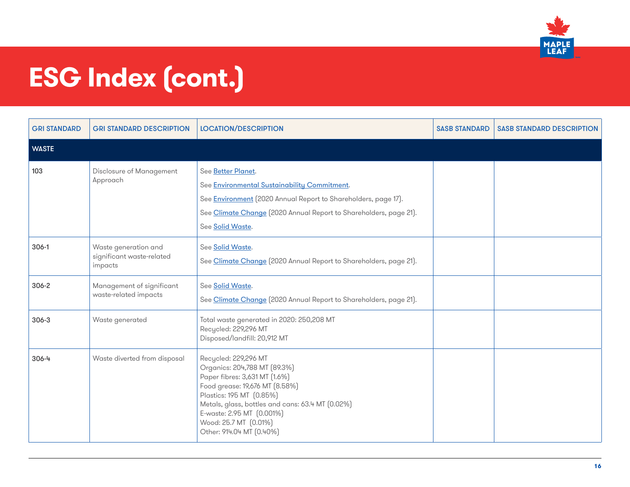

| <b>GRI STANDARD</b> | <b>GRI STANDARD DESCRIPTION</b>                              | <b>LOCATION/DESCRIPTION</b>                                                                                                                                                                                                                                                               | <b>SASB STANDARD</b> | <b>SASB STANDARD DESCRIPTION</b> |
|---------------------|--------------------------------------------------------------|-------------------------------------------------------------------------------------------------------------------------------------------------------------------------------------------------------------------------------------------------------------------------------------------|----------------------|----------------------------------|
| <b>WASTE</b>        |                                                              |                                                                                                                                                                                                                                                                                           |                      |                                  |
| 103                 | Disclosure of Management<br>Approach                         | See Better Planet.<br>See Environmental Sustainability Commitment.<br>See <b>Environment</b> (2020 Annual Report to Shareholders, page 17).<br>See Climate Change (2020 Annual Report to Shareholders, page 21).<br>See Solid Waste.                                                      |                      |                                  |
| 306-1               | Waste generation and<br>significant waste-related<br>impacts | See Solid Waste.<br>See Climate Change (2020 Annual Report to Shareholders, page 21).                                                                                                                                                                                                     |                      |                                  |
| 306-2               | Management of significant<br>waste-related impacts           | See Solid Waste.<br>See Climate Change (2020 Annual Report to Shareholders, page 21).                                                                                                                                                                                                     |                      |                                  |
| $306 - 3$           | Waste generated                                              | Total waste generated in 2020: 250,208 MT<br>Recycled: 229,296 MT<br>Disposed/landfill: 20,912 MT                                                                                                                                                                                         |                      |                                  |
| 306-4               | Waste diverted from disposal                                 | Recycled: 229,296 MT<br>Organics: 204,788 MT (89.3%)<br>Paper fibres: 3,631 MT (1.6%)<br>Food grease: 19,676 MT (8.58%)<br>Plastics: 195 MT (0.85%)<br>Metals, glass, bottles and cans: 63.4 MT (0.02%)<br>E-waste: 2.95 MT (0.001%)<br>Wood: 25.7 MT (0.01%)<br>Other: 914.04 MT (0.40%) |                      |                                  |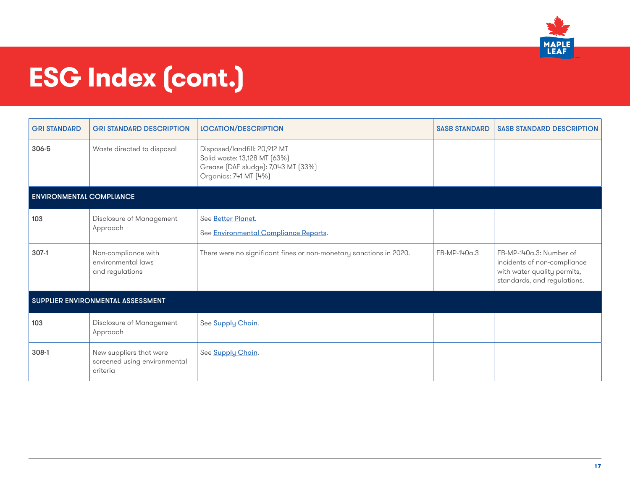

| <b>GRI STANDARD</b>               | <b>GRI STANDARD DESCRIPTION</b>                                     | <b>LOCATION/DESCRIPTION</b>                                                                                                  | <b>SASB STANDARD</b> | <b>SASB STANDARD DESCRIPTION</b>                                                                                     |  |
|-----------------------------------|---------------------------------------------------------------------|------------------------------------------------------------------------------------------------------------------------------|----------------------|----------------------------------------------------------------------------------------------------------------------|--|
| 306-5                             | Waste directed to disposal                                          | Disposed/landfill: 20,912 MT<br>Solid waste: 13,128 MT (63%)<br>Grease (DAF sludge): 7,043 MT (33%)<br>Organics: 741 MT (4%) |                      |                                                                                                                      |  |
| <b>ENVIRONMENTAL COMPLIANCE</b>   |                                                                     |                                                                                                                              |                      |                                                                                                                      |  |
| 103                               | Disclosure of Management<br>Approach                                | See Better Planet.<br>See <b>Environmental Compliance Reports.</b>                                                           |                      |                                                                                                                      |  |
| $307-1$                           | Non-compliance with<br>environmental laws<br>and regulations        | There were no significant fines or non-monetary sanctions in 2020.                                                           | FB-MP-140a.3         | FB-MP-140a.3: Number of<br>incidents of non-compliance<br>with water quality permits,<br>standards, and regulations. |  |
| SUPPLIER ENVIRONMENTAL ASSESSMENT |                                                                     |                                                                                                                              |                      |                                                                                                                      |  |
| 103                               | Disclosure of Management<br>Approach                                | See Supply Chain.                                                                                                            |                      |                                                                                                                      |  |
| 308-1                             | New suppliers that were<br>screened using environmental<br>criteria | See Supply Chain.                                                                                                            |                      |                                                                                                                      |  |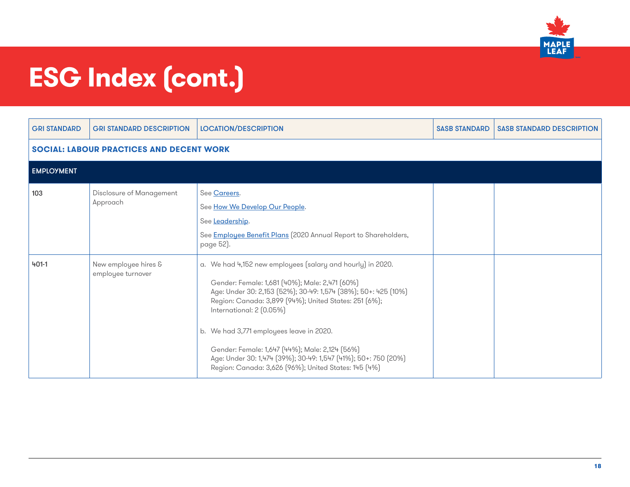

| <b>GRI STANDARD</b>                             | <b>GRI STANDARD DESCRIPTION</b>           | <b>LOCATION/DESCRIPTION</b>                                                                                                                                                                                                                                                                                                                                                                                                                                                                 | <b>SASB STANDARD</b> | <b>SASB STANDARD DESCRIPTION</b> |  |  |
|-------------------------------------------------|-------------------------------------------|---------------------------------------------------------------------------------------------------------------------------------------------------------------------------------------------------------------------------------------------------------------------------------------------------------------------------------------------------------------------------------------------------------------------------------------------------------------------------------------------|----------------------|----------------------------------|--|--|
| <b>SOCIAL: LABOUR PRACTICES AND DECENT WORK</b> |                                           |                                                                                                                                                                                                                                                                                                                                                                                                                                                                                             |                      |                                  |  |  |
| <b>EMPLOYMENT</b>                               |                                           |                                                                                                                                                                                                                                                                                                                                                                                                                                                                                             |                      |                                  |  |  |
| 103                                             | Disclosure of Management<br>Approach      | See Careers.<br>See How We Develop Our People.<br>See Leadership.<br>See Employee Benefit Plans (2020 Annual Report to Shareholders,<br>page 52).                                                                                                                                                                                                                                                                                                                                           |                      |                                  |  |  |
| $401 - 1$                                       | New employee hires &<br>employee turnover | a. We had 4,152 new employees (salary and hourly) in 2020.<br>Gender: Female: 1,681 (40%); Male: 2,471 (60%)<br>Age: Under 30: 2,153 (52%); 30-49: 1,574 (38%); 50+: 425 (10%)<br>Region: Canada: 3,899 [94%]; United States: 251 [6%];<br>International: 2 (0.05%)<br>b. We had 3,771 employees leave in 2020.<br>Gender: Female: 1,647 (44%); Male: 2,124 (56%)<br>Age: Under 30: 1,474 (39%); 30-49: 1,547 (41%); 50+: 750 (20%)<br>Region: Canada: 3,626 (96%); United States: 145 (4%) |                      |                                  |  |  |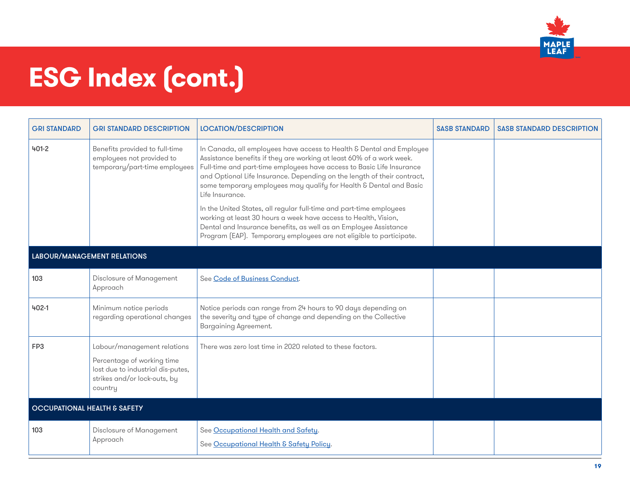

| <b>GRI STANDARD</b>         | <b>GRI STANDARD DESCRIPTION</b>                                                                                                           | <b>LOCATION/DESCRIPTION</b>                                                                                                                                                                                                                                                                                                                                                                                                                                                                                                                                                                                                                                                    | <b>SASB STANDARD</b> | <b>SASB STANDARD DESCRIPTION</b> |  |
|-----------------------------|-------------------------------------------------------------------------------------------------------------------------------------------|--------------------------------------------------------------------------------------------------------------------------------------------------------------------------------------------------------------------------------------------------------------------------------------------------------------------------------------------------------------------------------------------------------------------------------------------------------------------------------------------------------------------------------------------------------------------------------------------------------------------------------------------------------------------------------|----------------------|----------------------------------|--|
| $401 - 2$                   | Benefits provided to full-time<br>employees not provided to<br>temporary/part-time employees                                              | In Canada, all employees have access to Health & Dental and Employee<br>Assistance benefits if they are working at least 60% of a work week.<br>Full-time and part-time employees have access to Basic Life Insurance<br>and Optional Life Insurance. Depending on the length of their contract,<br>some temporary employees may qualify for Health & Dental and Basic<br>Life Insurance.<br>In the United States, all regular full-time and part-time employees<br>working at least 30 hours a week have access to Health, Vision,<br>Dental and Insurance benefits, as well as an Employee Assistance<br>Program (EAP). Temporary employees are not eligible to participate. |                      |                                  |  |
| LABOUR/MANAGEMENT RELATIONS |                                                                                                                                           |                                                                                                                                                                                                                                                                                                                                                                                                                                                                                                                                                                                                                                                                                |                      |                                  |  |
| 103                         | Disclosure of Management<br>Approach                                                                                                      | See Code of Business Conduct.                                                                                                                                                                                                                                                                                                                                                                                                                                                                                                                                                                                                                                                  |                      |                                  |  |
| $402 - 1$                   | Minimum notice periods<br>regarding operational changes                                                                                   | Notice periods can range from 24 hours to 90 days depending on<br>the severity and type of change and depending on the Collective<br>Bargaining Agreement.                                                                                                                                                                                                                                                                                                                                                                                                                                                                                                                     |                      |                                  |  |
| FP3                         | Labour/management relations<br>Percentage of working time<br>lost due to industrial dis-putes,<br>strikes and/or lock-outs, by<br>country | There was zero lost time in 2020 related to these factors.                                                                                                                                                                                                                                                                                                                                                                                                                                                                                                                                                                                                                     |                      |                                  |  |
|                             | <b>OCCUPATIONAL HEALTH &amp; SAFETY</b>                                                                                                   |                                                                                                                                                                                                                                                                                                                                                                                                                                                                                                                                                                                                                                                                                |                      |                                  |  |
| 103                         | Disclosure of Management<br>Approach                                                                                                      | See Occupational Health and Safety.<br>See Occupational Health & Safety Policy.                                                                                                                                                                                                                                                                                                                                                                                                                                                                                                                                                                                                |                      |                                  |  |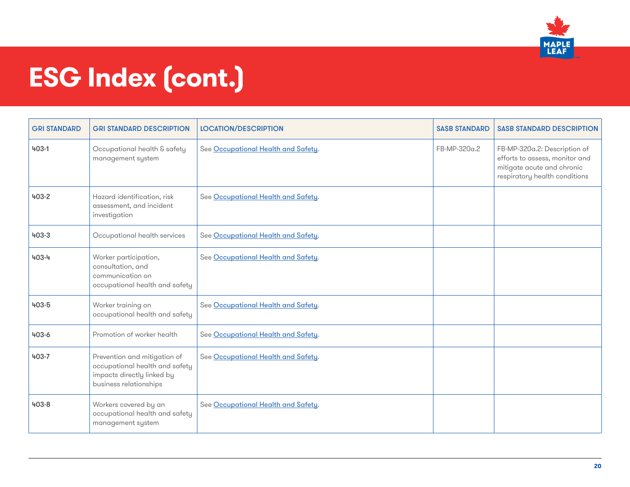

| <b>GRI STANDARD</b> | <b>GRI STANDARD DESCRIPTION</b>                                                                                        | <b>LOCATION/DESCRIPTION</b>         | <b>SASB STANDARD</b> | <b>SASB STANDARD DESCRIPTION</b>                                                                                              |
|---------------------|------------------------------------------------------------------------------------------------------------------------|-------------------------------------|----------------------|-------------------------------------------------------------------------------------------------------------------------------|
| $403 - 1$           | Occupational health & safety<br>management system                                                                      | See Occupational Health and Safety. | FB-MP-320a.2         | FB-MP-320a.2: Description of<br>efforts to assess, monitor and<br>mitigate acute and chronic<br>respiratory health conditions |
| $403 - 2$           | Hazard identification, risk<br>assessment, and incident<br>investigation                                               | See Occupational Health and Safety. |                      |                                                                                                                               |
| 403-3               | Occupational health services                                                                                           | See Occupational Health and Safety. |                      |                                                                                                                               |
| 403-4               | Worker participation,<br>consultation, and<br>communication on<br>occupational health and safety                       | See Occupational Health and Safety. |                      |                                                                                                                               |
| 403-5               | Worker training on<br>occupational health and safety                                                                   | See Occupational Health and Safety. |                      |                                                                                                                               |
| 403-6               | Promotion of worker health                                                                                             | See Occupational Health and Safety. |                      |                                                                                                                               |
| 403-7               | Prevention and mitigation of<br>occupational health and safety<br>impacts directly linked by<br>business relationships | See Occupational Health and Safety. |                      |                                                                                                                               |
| 403-8               | Workers covered by an<br>occupational health and safety<br>management system                                           | See Occupational Health and Safety. |                      |                                                                                                                               |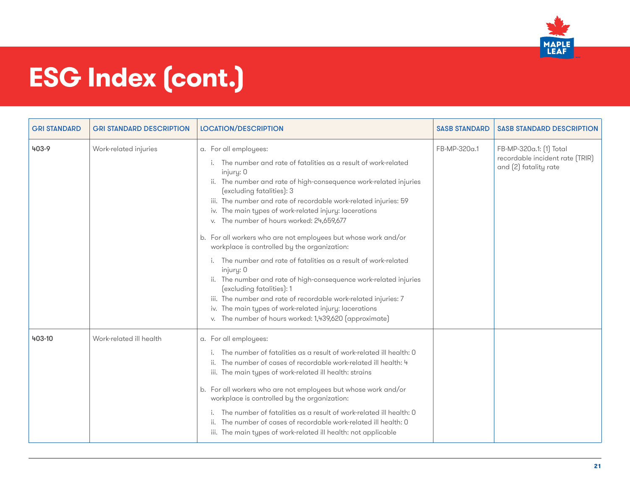

| <b>GRI STANDARD</b> | <b>GRI STANDARD DESCRIPTION</b> | <b>LOCATION/DESCRIPTION</b>                                                                                                                                                                                                                                                                                                                                                                                                                                                                                                                                                                                                                                                                                                                                                                                                                                               | <b>SASB STANDARD</b> | <b>SASB STANDARD DESCRIPTION</b>                                                    |
|---------------------|---------------------------------|---------------------------------------------------------------------------------------------------------------------------------------------------------------------------------------------------------------------------------------------------------------------------------------------------------------------------------------------------------------------------------------------------------------------------------------------------------------------------------------------------------------------------------------------------------------------------------------------------------------------------------------------------------------------------------------------------------------------------------------------------------------------------------------------------------------------------------------------------------------------------|----------------------|-------------------------------------------------------------------------------------|
| 403-9               | Work-related injuries           | a. For all employees:<br>The number and rate of fatalities as a result of work-related<br>injury: 0<br>ii. The number and rate of high-consequence work-related injuries<br>(excluding fatalities): 3<br>iii. The number and rate of recordable work-related injuries: 59<br>iv. The main types of work-related injury: lacerations<br>v. The number of hours worked: 24,659,677<br>b. For all workers who are not employees but whose work and/or<br>workplace is controlled by the organization:<br>The number and rate of fatalities as a result of work-related<br>injury: 0<br>ii. The number and rate of high-consequence work-related injuries<br>(excluding fatalities): 1<br>iii. The number and rate of recordable work-related injuries: 7<br>iv. The main types of work-related injury: lacerations<br>v. The number of hours worked: 1,439,620 (approximate) | FB-MP-320a.1         | FB-MP-320a.1: [1] Total<br>recordable incident rate (TRIR)<br>and (2) fatality rate |
| 403-10              | Work-related ill health         | a. For all employees:<br>The number of fatalities as a result of work-related ill health: 0<br>ii. The number of cases of recordable work-related ill health: 4<br>iii. The main types of work-related ill health: strains<br>b. For all workers who are not employees but whose work and/or<br>workplace is controlled by the organization:<br>The number of fatalities as a result of work-related ill health: 0<br>The number of cases of recordable work-related ill health: 0<br>ii.<br>iii. The main types of work-related ill health: not applicable                                                                                                                                                                                                                                                                                                               |                      |                                                                                     |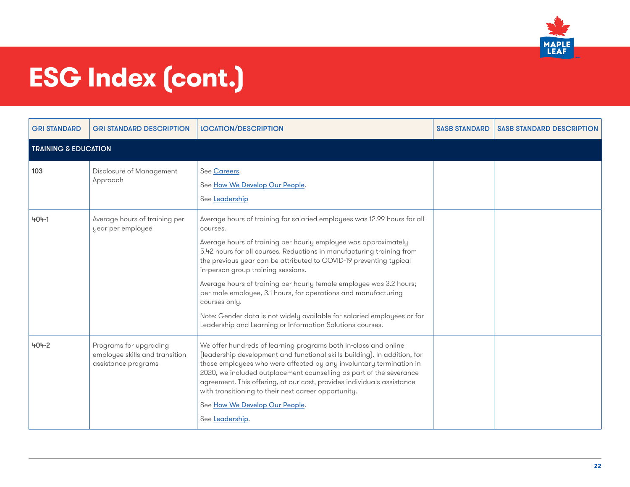

| <b>GRI STANDARD</b>             | <b>GRI STANDARD DESCRIPTION</b>                                                 | <b>LOCATION/DESCRIPTION</b>                                                                                                                                                                                                                                                                                                                                                                                                                                                                                                                                                                                                                    | <b>SASB STANDARD</b> | <b>SASB STANDARD DESCRIPTION</b> |
|---------------------------------|---------------------------------------------------------------------------------|------------------------------------------------------------------------------------------------------------------------------------------------------------------------------------------------------------------------------------------------------------------------------------------------------------------------------------------------------------------------------------------------------------------------------------------------------------------------------------------------------------------------------------------------------------------------------------------------------------------------------------------------|----------------------|----------------------------------|
| <b>TRAINING &amp; EDUCATION</b> |                                                                                 |                                                                                                                                                                                                                                                                                                                                                                                                                                                                                                                                                                                                                                                |                      |                                  |
| 103                             | Disclosure of Management<br>Approach                                            | See Careers.<br>See How We Develop Our People.<br>See Leadership                                                                                                                                                                                                                                                                                                                                                                                                                                                                                                                                                                               |                      |                                  |
| 404-1                           | Average hours of training per<br>year per employee                              | Average hours of training for salaried employees was 12.99 hours for all<br>courses.<br>Average hours of training per hourly employee was approximately<br>5.42 hours for all courses. Reductions in manufacturing training from<br>the previous year can be attributed to COVID-19 preventing typical<br>in-person group training sessions.<br>Average hours of training per hourly female employee was 3.2 hours;<br>per male employee, 3.1 hours, for operations and manufacturing<br>courses only.<br>Note: Gender data is not widely available for salaried employees or for<br>Leadership and Learning or Information Solutions courses. |                      |                                  |
| 404-2                           | Programs for upgrading<br>employee skills and transition<br>assistance programs | We offer hundreds of learning programs both in-class and online<br>(leadership development and functional skills building). In addition, for<br>those employees who were affected by any involuntary termination in<br>2020, we included outplacement counselling as part of the severance<br>agreement. This offering, at our cost, provides individuals assistance<br>with transitioning to their next career opportunity.<br>See How We Develop Our People.<br>See Leadership.                                                                                                                                                              |                      |                                  |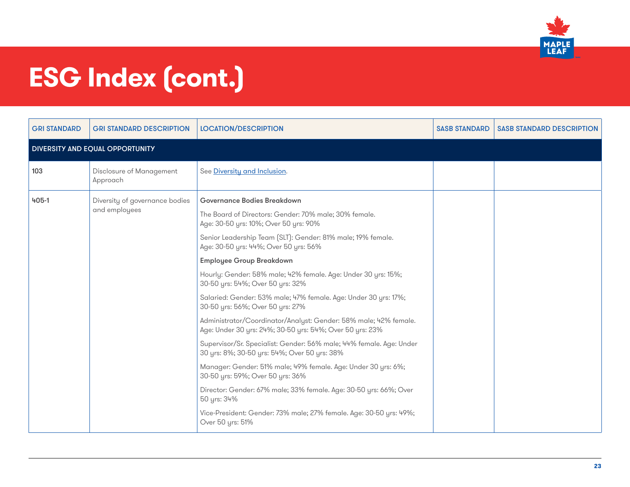

| <b>GRI STANDARD</b>             | <b>GRI STANDARD DESCRIPTION</b>                 | <b>LOCATION/DESCRIPTION</b>                                                                                                                                                                                                                                                                                                                                                                                                                                                                                                                                                                                                                                                                                                                                                                                                                                                                                                                                                                                                           | <b>SASB STANDARD</b> | <b>SASB STANDARD DESCRIPTION</b> |
|---------------------------------|-------------------------------------------------|---------------------------------------------------------------------------------------------------------------------------------------------------------------------------------------------------------------------------------------------------------------------------------------------------------------------------------------------------------------------------------------------------------------------------------------------------------------------------------------------------------------------------------------------------------------------------------------------------------------------------------------------------------------------------------------------------------------------------------------------------------------------------------------------------------------------------------------------------------------------------------------------------------------------------------------------------------------------------------------------------------------------------------------|----------------------|----------------------------------|
| DIVERSITY AND EQUAL OPPORTUNITY |                                                 |                                                                                                                                                                                                                                                                                                                                                                                                                                                                                                                                                                                                                                                                                                                                                                                                                                                                                                                                                                                                                                       |                      |                                  |
| 103                             | Disclosure of Management<br>Approach            | See Diversity and Inclusion.                                                                                                                                                                                                                                                                                                                                                                                                                                                                                                                                                                                                                                                                                                                                                                                                                                                                                                                                                                                                          |                      |                                  |
| $405 - 1$                       | Diversity of governance bodies<br>and employees | <b>Governance Bodies Breakdown</b><br>The Board of Directors: Gender: 70% male; 30% female.<br>Age: 30-50 yrs: 10%; Over 50 yrs: 90%<br>Senior Leadership Team (SLT): Gender: 81% male; 19% female.<br>Age: 30-50 yrs: 44%; Over 50 yrs: 56%<br><b>Employee Group Breakdown</b><br>Hourly: Gender: 58% male; 42% female. Age: Under 30 yrs: 15%;<br>30-50 yrs: 54%; Over 50 yrs: 32%<br>Salaried: Gender: 53% male; 47% female. Age: Under 30 yrs: 17%;<br>30-50 yrs: 56%; Over 50 yrs: 27%<br>Administrator/Coordinator/Analyst: Gender: 58% male; 42% female.<br>Age: Under 30 yrs: 24%; 30-50 yrs: 54%; Over 50 yrs: 23%<br>Supervisor/Sr. Specialist: Gender: 56% male; 44% female. Age: Under<br>30 yrs: 8%; 30-50 yrs: 54%; Over 50 yrs: 38%<br>Manager: Gender: 51% male; 49% female. Age: Under 30 yrs: 6%;<br>30-50 yrs: 59%; Over 50 yrs: 36%<br>Director: Gender: 67% male; 33% female. Age: 30-50 yrs: 66%; Over<br>50 yrs: 34%<br>Vice-President: Gender: 73% male; 27% female. Age: 30-50 yrs: 49%;<br>Over 50 yrs: 51% |                      |                                  |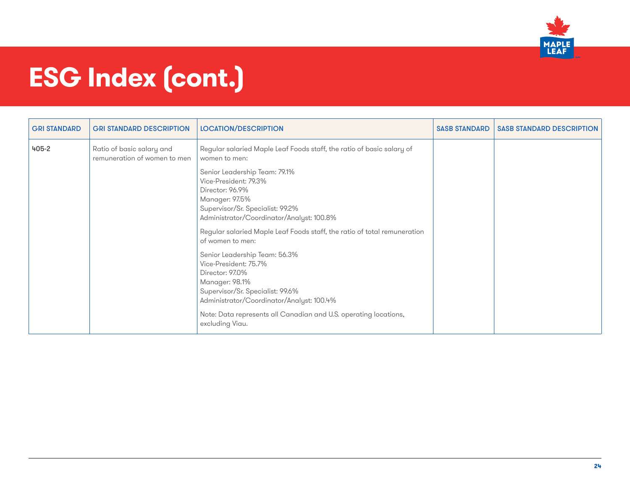

| <b>GRI STANDARD</b> | <b>GRI STANDARD DESCRIPTION</b>                           | <b>LOCATION/DESCRIPTION</b>                                                                                                                                                  | <b>SASB STANDARD</b> | <b>SASB STANDARD DESCRIPTION</b> |
|---------------------|-----------------------------------------------------------|------------------------------------------------------------------------------------------------------------------------------------------------------------------------------|----------------------|----------------------------------|
| 405-2               | Ratio of basic salary and<br>remuneration of women to men | Regular salaried Maple Leaf Foods staff, the ratio of basic salary of<br>women to men:                                                                                       |                      |                                  |
|                     |                                                           | Senior Leadership Team: 79.1%<br>Vice-President: 79.3%<br>Director: 96.9%<br>Manager: 97.5%<br>Supervisor/Sr. Specialist: 99.2%<br>Administrator/Coordinator/Analyst: 100.8% |                      |                                  |
|                     |                                                           | Regular salaried Maple Leaf Foods staff, the ratio of total remuneration<br>of women to men:                                                                                 |                      |                                  |
|                     |                                                           | Senior Leadership Team: 56.3%<br>Vice-President: 75.7%<br>Director: 97.0%<br>Manager: 98.1%<br>Supervisor/Sr. Specialist: 99.6%<br>Administrator/Coordinator/Analyst: 100.4% |                      |                                  |
|                     |                                                           | Note: Data represents all Canadian and U.S. operating locations,<br>excluding Viau.                                                                                          |                      |                                  |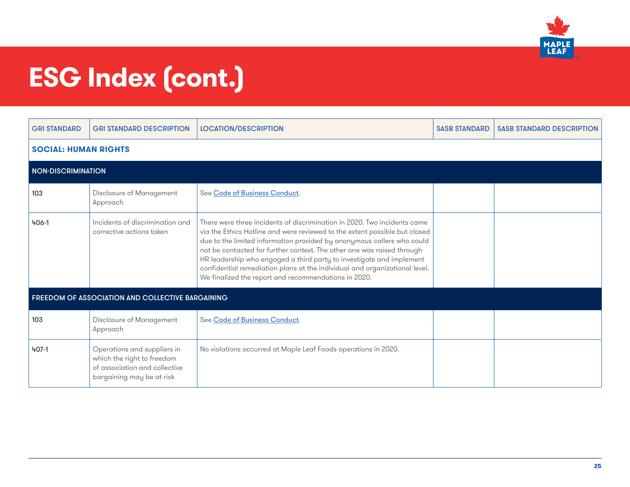

| <b>GRI STANDARD</b>         | <b>GRI STANDARD DESCRIPTION</b>                                                                                         | <b>LOCATION/DESCRIPTION</b>                                                                                                                                                                                                                                                                                                                                                                                                                                                                                              | <b>SASB STANDARD</b> | <b>SASB STANDARD DESCRIPTION</b> |
|-----------------------------|-------------------------------------------------------------------------------------------------------------------------|--------------------------------------------------------------------------------------------------------------------------------------------------------------------------------------------------------------------------------------------------------------------------------------------------------------------------------------------------------------------------------------------------------------------------------------------------------------------------------------------------------------------------|----------------------|----------------------------------|
| <b>SOCIAL: HUMAN RIGHTS</b> |                                                                                                                         |                                                                                                                                                                                                                                                                                                                                                                                                                                                                                                                          |                      |                                  |
| <b>NON-DISCRIMINATION</b>   |                                                                                                                         |                                                                                                                                                                                                                                                                                                                                                                                                                                                                                                                          |                      |                                  |
| 103                         | Disclosure of Management<br>Approach                                                                                    | See Code of Business Conduct.                                                                                                                                                                                                                                                                                                                                                                                                                                                                                            |                      |                                  |
| $406 - 1$                   | Incidents of discrimination and<br>corrective actions taken                                                             | There were three incidents of discrimination in 2020. Two incidents came<br>via the Ethics Hotline and were reviewed to the extent possible but closed<br>due to the limited information provided by anonymous callers who could<br>not be contacted for further context. The other one was raised through<br>HR leadership who engaged a third party to investigate and implement<br>confidential remediation plans at the individual and organizational level.<br>We finalized the report and recommendations in 2020. |                      |                                  |
|                             | FREEDOM OF ASSOCIATION AND COLLECTIVE BARGAINING                                                                        |                                                                                                                                                                                                                                                                                                                                                                                                                                                                                                                          |                      |                                  |
| 103                         | Disclosure of Management<br>Approach                                                                                    | See Code of Business Conduct.                                                                                                                                                                                                                                                                                                                                                                                                                                                                                            |                      |                                  |
| $407 - 1$                   | Operations and suppliers in<br>which the right to freedom<br>of association and collective<br>bargaining may be at risk | No violations occurred at Maple Leaf Foods operations in 2020.                                                                                                                                                                                                                                                                                                                                                                                                                                                           |                      |                                  |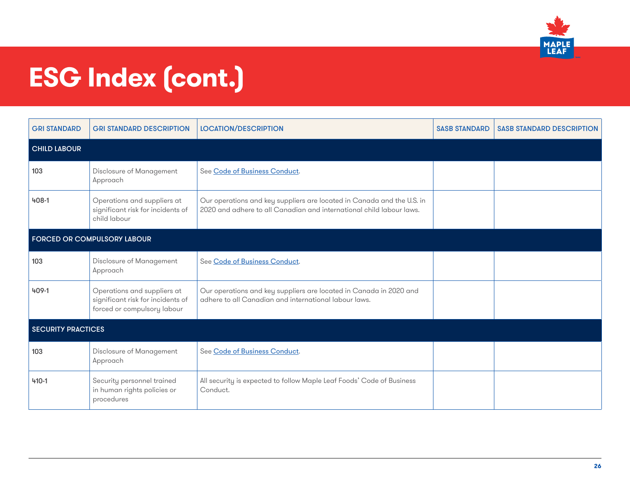

| <b>GRI STANDARD</b> | <b>GRI STANDARD DESCRIPTION</b>                                                                 | <b>LOCATION/DESCRIPTION</b>                                                                                                                    | <b>SASB STANDARD</b> | <b>SASB STANDARD DESCRIPTION</b> |  |  |
|---------------------|-------------------------------------------------------------------------------------------------|------------------------------------------------------------------------------------------------------------------------------------------------|----------------------|----------------------------------|--|--|
| <b>CHILD LABOUR</b> |                                                                                                 |                                                                                                                                                |                      |                                  |  |  |
| 103                 | Disclosure of Management<br>Approach                                                            | See Code of Business Conduct.                                                                                                                  |                      |                                  |  |  |
| $408 - 1$           | Operations and suppliers at<br>significant risk for incidents of<br>child labour                | Our operations and key suppliers are located in Canada and the U.S. in<br>2020 and adhere to all Canadian and international child labour laws. |                      |                                  |  |  |
|                     | <b>FORCED OR COMPULSORY LABOUR</b>                                                              |                                                                                                                                                |                      |                                  |  |  |
| 103                 | Disclosure of Management<br>Approach                                                            | See Code of Business Conduct.                                                                                                                  |                      |                                  |  |  |
| 409-1               | Operations and suppliers at<br>significant risk for incidents of<br>forced or compulsory labour | Our operations and key suppliers are located in Canada in 2020 and<br>adhere to all Canadian and international labour laws.                    |                      |                                  |  |  |
|                     | <b>SECURITY PRACTICES</b>                                                                       |                                                                                                                                                |                      |                                  |  |  |
| 103                 | Disclosure of Management<br>Approach                                                            | See Code of Business Conduct.                                                                                                                  |                      |                                  |  |  |
| $410 - 1$           | Security personnel trained<br>in human rights policies or<br>procedures                         | All security is expected to follow Maple Leaf Foods' Code of Business<br>Conduct.                                                              |                      |                                  |  |  |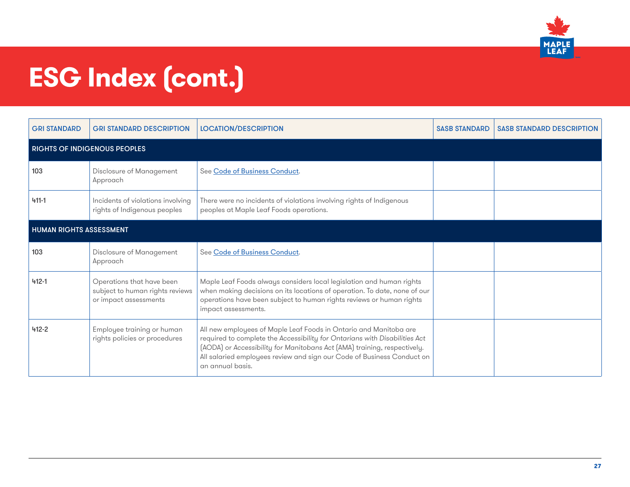

| <b>GRI STANDARD</b>            | <b>GRI STANDARD DESCRIPTION</b>                                                       | <b>LOCATION/DESCRIPTION</b>                                                                                                                                                                                                                                                                                               | <b>SASB STANDARD</b> | <b>SASB STANDARD DESCRIPTION</b> |  |  |
|--------------------------------|---------------------------------------------------------------------------------------|---------------------------------------------------------------------------------------------------------------------------------------------------------------------------------------------------------------------------------------------------------------------------------------------------------------------------|----------------------|----------------------------------|--|--|
|                                | <b>RIGHTS OF INDIGENOUS PEOPLES</b>                                                   |                                                                                                                                                                                                                                                                                                                           |                      |                                  |  |  |
| 103                            | Disclosure of Management<br>Approach                                                  | See Code of Business Conduct.                                                                                                                                                                                                                                                                                             |                      |                                  |  |  |
| $411 - 1$                      | Incidents of violations involving<br>rights of Indigenous peoples                     | There were no incidents of violations involving rights of Indigenous<br>peoples at Maple Leaf Foods operations.                                                                                                                                                                                                           |                      |                                  |  |  |
| <b>HUMAN RIGHTS ASSESSMENT</b> |                                                                                       |                                                                                                                                                                                                                                                                                                                           |                      |                                  |  |  |
| 103                            | Disclosure of Management<br>Approach                                                  | See Code of Business Conduct.                                                                                                                                                                                                                                                                                             |                      |                                  |  |  |
| $412 - 1$                      | Operations that have been<br>subject to human rights reviews<br>or impact assessments | Maple Leaf Foods always considers local legislation and human rights<br>when making decisions on its locations of operation. To date, none of our<br>operations have been subject to human rights reviews or human rights<br>impact assessments.                                                                          |                      |                                  |  |  |
| $412 - 2$                      | Employee training or human<br>rights policies or procedures                           | All new employees of Maple Leaf Foods in Ontario and Manitoba are<br>required to complete the Accessibility for Ontarians with Disabilities Act<br>(AODA) or Accessibility for Manitobans Act (AMA) training, respectively.<br>All salaried employees review and sign our Code of Business Conduct on<br>an annual basis. |                      |                                  |  |  |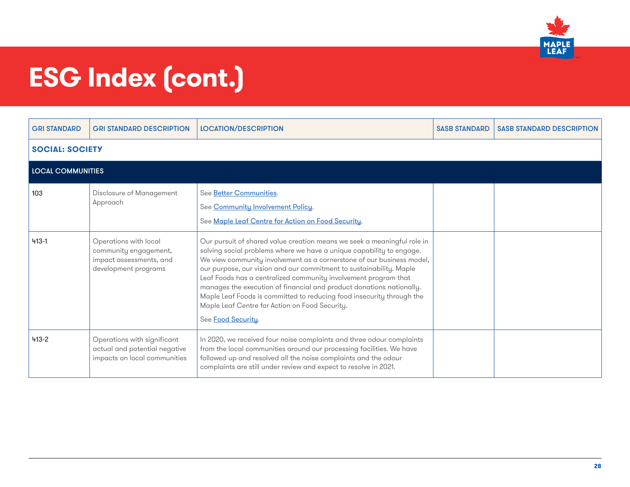

| <b>GRI STANDARD</b>      | <b>GRI STANDARD DESCRIPTION</b>                                                                   | <b>LOCATION/DESCRIPTION</b>                                                                                                                                                                                                                                                                                                                                                                                                                                                                                                                                                                 | <b>SASB STANDARD</b> | <b>SASB STANDARD DESCRIPTION</b> |
|--------------------------|---------------------------------------------------------------------------------------------------|---------------------------------------------------------------------------------------------------------------------------------------------------------------------------------------------------------------------------------------------------------------------------------------------------------------------------------------------------------------------------------------------------------------------------------------------------------------------------------------------------------------------------------------------------------------------------------------------|----------------------|----------------------------------|
| <b>SOCIAL: SOCIETY</b>   |                                                                                                   |                                                                                                                                                                                                                                                                                                                                                                                                                                                                                                                                                                                             |                      |                                  |
| <b>LOCAL COMMUNITIES</b> |                                                                                                   |                                                                                                                                                                                                                                                                                                                                                                                                                                                                                                                                                                                             |                      |                                  |
| 103                      | Disclosure of Management<br>Approach                                                              | See Better Communities.<br>See Community Involvement Policy.<br>See Maple Leaf Centre for Action on Food Security.                                                                                                                                                                                                                                                                                                                                                                                                                                                                          |                      |                                  |
| $413 - 1$                | Operations with local<br>community engagement,<br>impact assessments, and<br>development programs | Our pursuit of shared value creation means we seek a meaningful role in<br>solving social problems where we have a unique capability to engage.<br>We view community involvement as a cornerstone of our business model,<br>our purpose, our vision and our commitment to sustainability. Maple<br>Leaf Foods has a centralized community involvement program that<br>manages the execution of financial and product donations nationally.<br>Maple Leaf Foods is committed to reducing food insecurity through the<br>Maple Leaf Centre for Action on Food Security.<br>See Food Security. |                      |                                  |
| $413 - 2$                | Operations with significant<br>actual and potential negative<br>impacts on local communities      | In 2020, we received four noise complaints and three odour complaints<br>from the local communities around our processing facilities. We have<br>followed up and resolved all the noise complaints and the odour<br>complaints are still under review and expect to resolve in 2021.                                                                                                                                                                                                                                                                                                        |                      |                                  |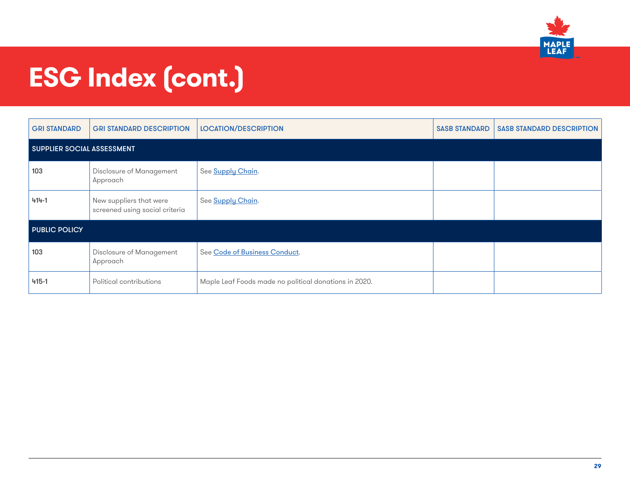

| <b>GRI STANDARD</b>  | <b>GRI STANDARD DESCRIPTION</b>                           | <b>LOCATION/DESCRIPTION</b>                           | <b>SASB STANDARD</b> | <b>SASB STANDARD DESCRIPTION</b> |  |  |  |
|----------------------|-----------------------------------------------------------|-------------------------------------------------------|----------------------|----------------------------------|--|--|--|
|                      | <b>SUPPLIER SOCIAL ASSESSMENT</b>                         |                                                       |                      |                                  |  |  |  |
| 103                  | Disclosure of Management<br>Approach                      | See Supply Chain.                                     |                      |                                  |  |  |  |
| 414-1                | New suppliers that were<br>screened using social criteria | See Supply Chain.                                     |                      |                                  |  |  |  |
| <b>PUBLIC POLICY</b> |                                                           |                                                       |                      |                                  |  |  |  |
| 103                  | Disclosure of Management<br>Approach                      | See Code of Business Conduct.                         |                      |                                  |  |  |  |
| $415 - 1$            | Political contributions                                   | Maple Leaf Foods made no political donations in 2020. |                      |                                  |  |  |  |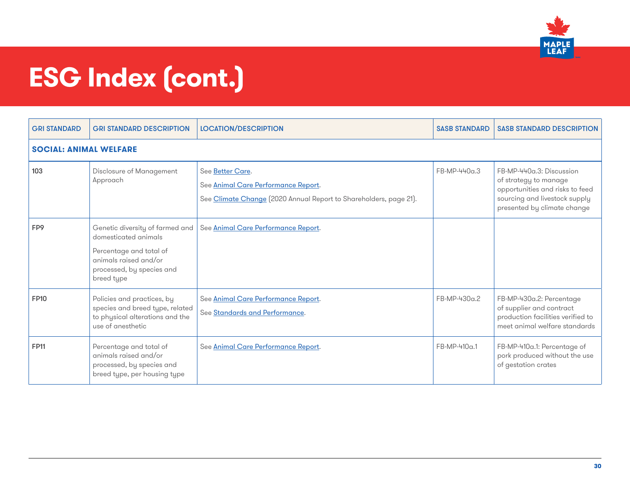

| <b>GRI STANDARD</b>           | <b>GRI STANDARD DESCRIPTION</b>                                                                                                                        | <b>LOCATION/DESCRIPTION</b>                                                                                                  | <b>SASB STANDARD</b> | <b>SASB STANDARD DESCRIPTION</b>                                                                                                                     |  |  |
|-------------------------------|--------------------------------------------------------------------------------------------------------------------------------------------------------|------------------------------------------------------------------------------------------------------------------------------|----------------------|------------------------------------------------------------------------------------------------------------------------------------------------------|--|--|
| <b>SOCIAL: ANIMAL WELFARE</b> |                                                                                                                                                        |                                                                                                                              |                      |                                                                                                                                                      |  |  |
| 103                           | Disclosure of Management<br>Approach                                                                                                                   | See Better Care.<br>See Animal Care Performance Report.<br>See Climate Change [2020 Annual Report to Shareholders, page 21]. | FB-MP-440a.3         | FB-MP-440a.3: Discussion<br>of strategy to manage<br>opportunities and risks to feed<br>sourcing and livestock supply<br>presented by climate change |  |  |
| FP9                           | Genetic diversity of farmed and<br>domesticated animals<br>Percentage and total of<br>animals raised and/or<br>processed, by species and<br>breed type | See Animal Care Performance Report.                                                                                          |                      |                                                                                                                                                      |  |  |
| <b>FP10</b>                   | Policies and practices, by<br>species and breed type, related<br>to physical alterations and the<br>use of anesthetic                                  | See Animal Care Performance Report.<br>See Standards and Performance.                                                        | FB-MP-430a.2         | FB-MP-430a.2: Percentage<br>of supplier and contract<br>production facilities verified to<br>meet animal welfare standards                           |  |  |
| <b>FP11</b>                   | Percentage and total of<br>animals raised and/or<br>processed, by species and<br>breed type, per housing type                                          | See Animal Care Performance Report.                                                                                          | FB-MP-410a.1         | FB-MP-410a.1: Percentage of<br>pork produced without the use<br>of gestation crates                                                                  |  |  |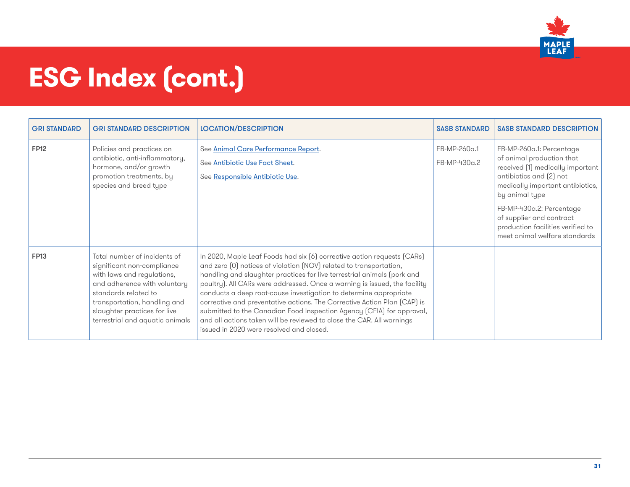

| <b>GRI STANDARD</b> | <b>GRI STANDARD DESCRIPTION</b>                                                                                                                                                                                                                     | <b>LOCATION/DESCRIPTION</b>                                                                                                                                                                                                                                                                                                                                                                                                                                                                                                                                                                                                                          | <b>SASB STANDARD</b>         | <b>SASB STANDARD DESCRIPTION</b>                                                                                                                                                                                                                                                                           |
|---------------------|-----------------------------------------------------------------------------------------------------------------------------------------------------------------------------------------------------------------------------------------------------|------------------------------------------------------------------------------------------------------------------------------------------------------------------------------------------------------------------------------------------------------------------------------------------------------------------------------------------------------------------------------------------------------------------------------------------------------------------------------------------------------------------------------------------------------------------------------------------------------------------------------------------------------|------------------------------|------------------------------------------------------------------------------------------------------------------------------------------------------------------------------------------------------------------------------------------------------------------------------------------------------------|
| <b>FP12</b>         | Policies and practices on<br>antibiotic, anti-inflammatory,<br>hormone, and/or growth<br>promotion treatments, by<br>species and breed type                                                                                                         | See Animal Care Performance Report.<br>See Antibiotic Use Fact Sheet.<br>See Responsible Antibiotic Use.                                                                                                                                                                                                                                                                                                                                                                                                                                                                                                                                             | FB-MP-260a.1<br>FB-MP-430a.2 | FB-MP-260a.1: Percentage<br>of animal production that<br>received (1) medically important  <br>antibiotics and (2) not<br>medically important antibiotics,<br>by animal type<br>FB-MP-430a.2: Percentage<br>of supplier and contract<br>production facilities verified to<br>meet animal welfare standards |
| <b>FP13</b>         | Total number of incidents of<br>significant non-compliance<br>with laws and regulations,<br>and adherence with voluntary<br>standards related to<br>transportation, handling and<br>slaughter practices for live<br>terrestrial and aquatic animals | In 2020, Maple Leaf Foods had six (6) corrective action requests (CARs)<br>and zero [0] notices of violation (NOV) related to transportation,<br>handling and slaughter practices for live terrestrial animals (pork and<br>poultry). All CARs were addressed. Once a warning is issued, the facility<br>conducts a deep root-cause investigation to determine appropriate<br>corrective and preventative actions. The Corrective Action Plan (CAP) is<br>submitted to the Canadian Food Inspection Agency (CFIA) for approval,<br>and all actions taken will be reviewed to close the CAR. All warnings<br>issued in 2020 were resolved and closed. |                              |                                                                                                                                                                                                                                                                                                            |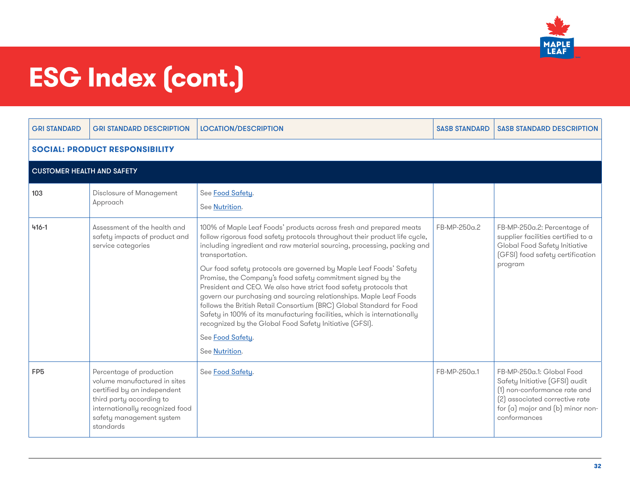

| <b>GRI STANDARD</b>                   | <b>GRI STANDARD DESCRIPTION</b>                                                                                                                                                                 | <b>LOCATION/DESCRIPTION</b>                                                                                                                                                                                                                                                                                                                                                                                                                                                                 | <b>SASB STANDARD</b> | <b>SASB STANDARD DESCRIPTION</b>                                                                                                                                                  |  |  |
|---------------------------------------|-------------------------------------------------------------------------------------------------------------------------------------------------------------------------------------------------|---------------------------------------------------------------------------------------------------------------------------------------------------------------------------------------------------------------------------------------------------------------------------------------------------------------------------------------------------------------------------------------------------------------------------------------------------------------------------------------------|----------------------|-----------------------------------------------------------------------------------------------------------------------------------------------------------------------------------|--|--|
| <b>SOCIAL: PRODUCT RESPONSIBILITY</b> |                                                                                                                                                                                                 |                                                                                                                                                                                                                                                                                                                                                                                                                                                                                             |                      |                                                                                                                                                                                   |  |  |
|                                       | <b>CUSTOMER HEALTH AND SAFETY</b>                                                                                                                                                               |                                                                                                                                                                                                                                                                                                                                                                                                                                                                                             |                      |                                                                                                                                                                                   |  |  |
| 103                                   | Disclosure of Management<br>Approach                                                                                                                                                            | See Food Safety.<br>See Nutrition.                                                                                                                                                                                                                                                                                                                                                                                                                                                          |                      |                                                                                                                                                                                   |  |  |
| $416 - 1$                             | Assessment of the health and<br>safety impacts of product and<br>service categories                                                                                                             | 100% of Maple Leaf Foods' products across fresh and prepared meats<br>follow rigorous food safety protocols throughout their product life cycle,<br>including ingredient and raw material sourcing, processing, packing and<br>transportation.                                                                                                                                                                                                                                              | FB-MP-250a.2         | FB-MP-250a.2: Percentage of<br>supplier facilities certified to a<br>Global Food Safety Initiative<br>(GFSI) food safety certification                                            |  |  |
|                                       |                                                                                                                                                                                                 | Our food safety protocols are governed by Maple Leaf Foods' Safety<br>Promise, the Company's food safety commitment signed by the<br>President and CEO. We also have strict food safety protocols that<br>govern our purchasing and sourcing relationships. Maple Leaf Foods<br>follows the British Retail Consortium (BRC) Global Standard for Food<br>Safety in 100% of its manufacturing facilities, which is internationally<br>recognized by the Global Food Safety Initiative [GFSI]. |                      | program                                                                                                                                                                           |  |  |
|                                       |                                                                                                                                                                                                 | See Food Safety.<br>See Nutrition.                                                                                                                                                                                                                                                                                                                                                                                                                                                          |                      |                                                                                                                                                                                   |  |  |
| FP <sub>5</sub>                       | Percentage of production<br>volume manufactured in sites<br>certified by an independent<br>third party according to<br>internationally recognized food<br>safety management system<br>standards | See Food Safety.                                                                                                                                                                                                                                                                                                                                                                                                                                                                            | FB-MP-250a.1         | FB-MP-250a.1: Global Food<br>Safety Initiative (GFSI) audit<br>(1) non-conformance rate and<br>(2) associated corrective rate<br>for (a) major and (b) minor non-<br>conformances |  |  |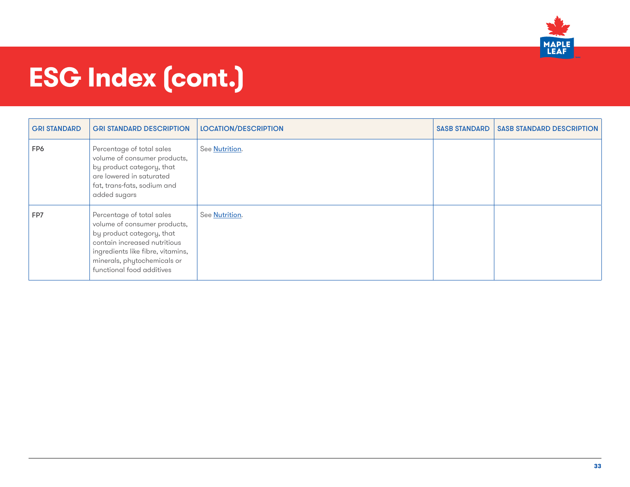

| <b>GRI STANDARD</b> | <b>GRI STANDARD DESCRIPTION</b>                                                                                                                                                                                         | <b>LOCATION/DESCRIPTION</b> | <b>SASB STANDARD</b> | <b>SASB STANDARD DESCRIPTION</b> |
|---------------------|-------------------------------------------------------------------------------------------------------------------------------------------------------------------------------------------------------------------------|-----------------------------|----------------------|----------------------------------|
| FP6                 | Percentage of total sales<br>volume of consumer products,<br>by product category, that<br>are lowered in saturated<br>fat, trans-fats, sodium and<br>added sugars                                                       | See Nutrition.              |                      |                                  |
| FP7                 | Percentage of total sales<br>volume of consumer products,<br>by product category, that<br>contain increased nutritious<br>ingredients like fibre, vitamins,<br>minerals, phytochemicals or<br>functional food additives | See Nutrition.              |                      |                                  |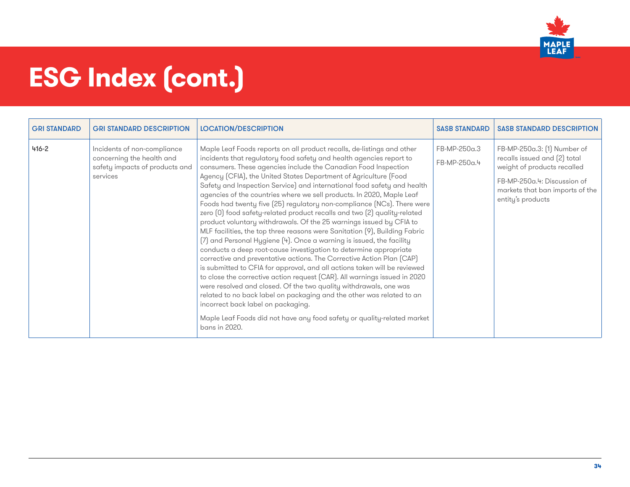

| <b>GRI STANDARD</b> | <b>GRI STANDARD DESCRIPTION</b>                                                                        | <b>LOCATION/DESCRIPTION</b>                                                                                                                                                                                                                                                                                                                                                                                                                                                                                                                                                                                                                                                                                                                                                                                                                                                                                                                                                                                                                                                                                                                                                                                                                                                                                                                                                                                        | <b>SASB STANDARD</b>         | <b>SASB STANDARD DESCRIPTION</b>                                                                                                                                                  |
|---------------------|--------------------------------------------------------------------------------------------------------|--------------------------------------------------------------------------------------------------------------------------------------------------------------------------------------------------------------------------------------------------------------------------------------------------------------------------------------------------------------------------------------------------------------------------------------------------------------------------------------------------------------------------------------------------------------------------------------------------------------------------------------------------------------------------------------------------------------------------------------------------------------------------------------------------------------------------------------------------------------------------------------------------------------------------------------------------------------------------------------------------------------------------------------------------------------------------------------------------------------------------------------------------------------------------------------------------------------------------------------------------------------------------------------------------------------------------------------------------------------------------------------------------------------------|------------------------------|-----------------------------------------------------------------------------------------------------------------------------------------------------------------------------------|
| $416 - 2$           | Incidents of non-compliance<br>concerning the health and<br>safety impacts of products and<br>services | Maple Leaf Foods reports on all product recalls, de-listings and other<br>incidents that regulatory food safety and health agencies report to<br>consumers. These agencies include the Canadian Food Inspection<br>Agency (CFIA), the United States Department of Agriculture (Food<br>Safety and Inspection Service) and international food safety and health<br>agencies of the countries where we sell products. In 2020, Maple Leaf<br>Foods had twenty five (25) regulatory non-compliance (NCs). There were<br>zero (0) food safety-related product recalls and two (2) quality-related<br>product voluntary withdrawals. Of the 25 warnings issued by CFIA to<br>MLF facilities, the top three reasons were Sanitation [9], Building Fabric<br>[7] and Personal Hygiene [4]. Once a warning is issued, the facility<br>conducts a deep root-cause investigation to determine appropriate<br>corrective and preventative actions. The Corrective Action Plan (CAP)<br>is submitted to CFIA for approval, and all actions taken will be reviewed<br>to close the corrective action request (CAR). All warnings issued in 2020<br>were resolved and closed. Of the two quality withdrawals, one was<br>related to no back label on packaging and the other was related to an<br>incorrect back label on packaging.<br>Maple Leaf Foods did not have any food safety or quality-related market<br>bans in 2020. | FB-MP-250a.3<br>FB-MP-250a.4 | FB-MP-250a.3: [1] Number of<br>recalls issued and (2) total<br>weight of products recalled<br>FB-MP-250a.4: Discussion of<br>markets that ban imports of the<br>entity's products |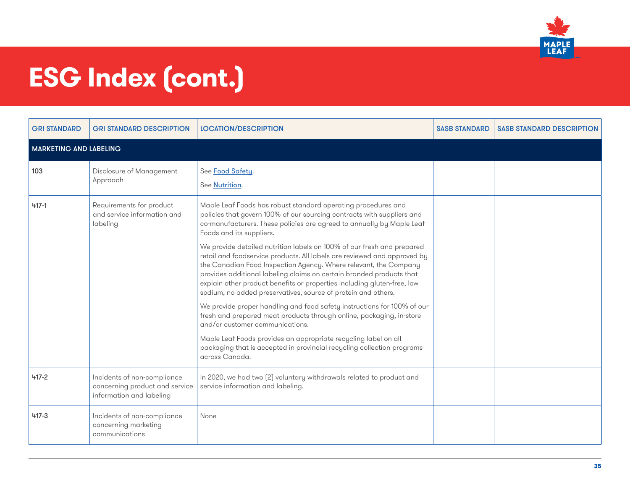

| <b>GRI STANDARD</b>           | <b>GRI STANDARD DESCRIPTION</b>                                                           | <b>LOCATION/DESCRIPTION</b>                                                                                                                                                                                                                                                                                                                                                                                                                | <b>SASB STANDARD</b> | <b>SASB STANDARD DESCRIPTION</b> |
|-------------------------------|-------------------------------------------------------------------------------------------|--------------------------------------------------------------------------------------------------------------------------------------------------------------------------------------------------------------------------------------------------------------------------------------------------------------------------------------------------------------------------------------------------------------------------------------------|----------------------|----------------------------------|
| <b>MARKETING AND LABELING</b> |                                                                                           |                                                                                                                                                                                                                                                                                                                                                                                                                                            |                      |                                  |
| 103                           | Disclosure of Management<br>Approach                                                      | See Food Safety.<br>See Nutrition.                                                                                                                                                                                                                                                                                                                                                                                                         |                      |                                  |
| $417 - 1$                     | Requirements for product<br>and service information and<br>labeling                       | Maple Leaf Foods has robust standard operating procedures and<br>policies that govern 100% of our sourcing contracts with suppliers and<br>co-manufacturers. These policies are agreed to annually by Maple Leaf<br>Foods and its suppliers.                                                                                                                                                                                               |                      |                                  |
|                               |                                                                                           | We provide detailed nutrition labels on 100% of our fresh and prepared<br>retail and foodservice products. All labels are reviewed and approved by<br>the Canadian Food Inspection Agency. Where relevant, the Company<br>provides additional labeling claims on certain branded products that<br>explain other product benefits or properties including gluten-free, low<br>sodium, no added preservatives, source of protein and others. |                      |                                  |
|                               |                                                                                           | We provide proper handling and food safety instructions for 100% of our<br>fresh and prepared meat products through online, packaging, in-store<br>and/or customer communications.                                                                                                                                                                                                                                                         |                      |                                  |
|                               |                                                                                           | Maple Leaf Foods provides an appropriate recycling label on all<br>packaging that is accepted in provincial recycling collection programs<br>across Canada.                                                                                                                                                                                                                                                                                |                      |                                  |
| $417 - 2$                     | Incidents of non-compliance<br>concerning product and service<br>information and labeling | In 2020, we had two (2) voluntary withdrawals related to product and<br>service information and labeling.                                                                                                                                                                                                                                                                                                                                  |                      |                                  |
| $417 - 3$                     | Incidents of non-compliance<br>concerning marketing<br>communications                     | None                                                                                                                                                                                                                                                                                                                                                                                                                                       |                      |                                  |